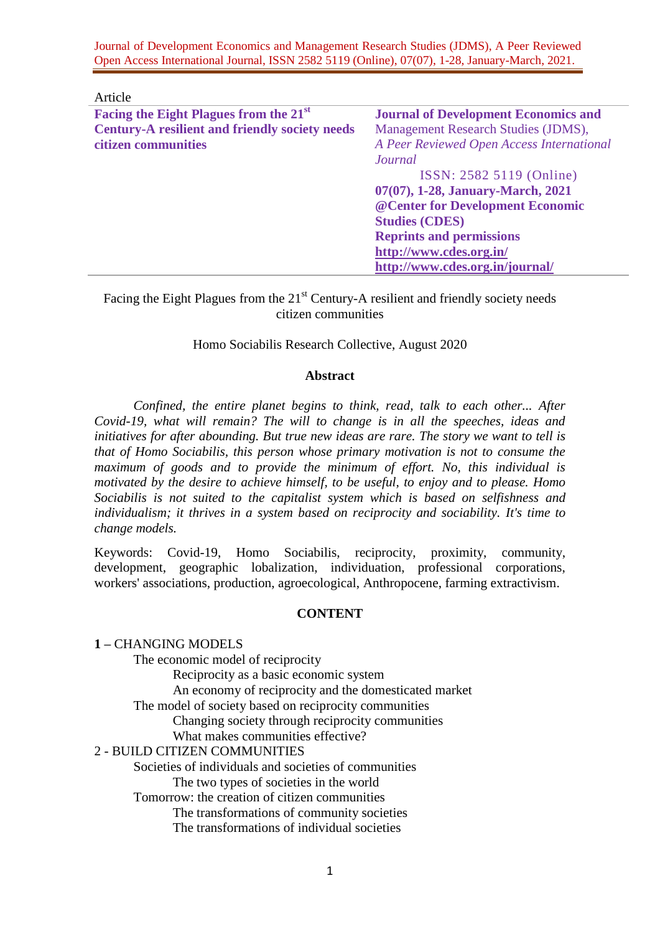Journal of Development Economics and Management Research Studies (JDMS), A Peer Reviewed Open Access International Journal, ISSN 2582 5119 (Online), 07(07), 1-28, January-March, 2021.

| Article                                               |                                             |
|-------------------------------------------------------|---------------------------------------------|
| Facing the Eight Plagues from the 21 <sup>st</sup>    | <b>Journal of Development Economics and</b> |
| <b>Century-A resilient and friendly society needs</b> | Management Research Studies (JDMS),         |
| citizen communities                                   | A Peer Reviewed Open Access International   |
|                                                       | Journal                                     |
|                                                       | ISSN: 2582 5119 (Online)                    |
|                                                       | 07(07), 1-28, January-March, 2021           |
|                                                       | @ Center for Development Economic           |
|                                                       | <b>Studies (CDES)</b>                       |
|                                                       | <b>Reprints and permissions</b>             |
|                                                       | http://www.cdes.org.in/                     |
|                                                       | http://www.cdes.org.in/journal/             |

Facing the Eight Plagues from the  $21<sup>st</sup>$  Century-A resilient and friendly society needs citizen communities

#### Homo Sociabilis Research Collective, August 2020

#### **Abstract**

*Confined, the entire planet begins to think, read, talk to each other... After Covid-19, what will remain? The will to change is in all the speeches, ideas and initiatives for after abounding. But true new ideas are rare. The story we want to tell is that of Homo Sociabilis, this person whose primary motivation is not to consume the maximum of goods and to provide the minimum of effort. No, this individual is motivated by the desire to achieve himself, to be useful, to enjoy and to please. Homo Sociabilis is not suited to the capitalist system which is based on selfishness and individualism; it thrives in a system based on reciprocity and sociability. It's time to change models.*

Keywords: Covid-19, Homo Sociabilis, reciprocity, proximity, community, development, geographic lobalization, individuation, professional corporations, workers' associations, production, agroecological, Anthropocene, farming extractivism.

### **CONTENT**

#### **1 –** CHANGING MODELS

The economic model of reciprocity

Reciprocity as a basic economic system

An economy of reciprocity and the domesticated market

The model of society based on reciprocity communities

Changing society through reciprocity communities

What makes communities effective?

#### 2 - BUILD CITIZEN COMMUNITIES

Societies of individuals and societies of communities

The two types of societies in the world

Tomorrow: the creation of citizen communities

The transformations of community societies

The transformations of individual societies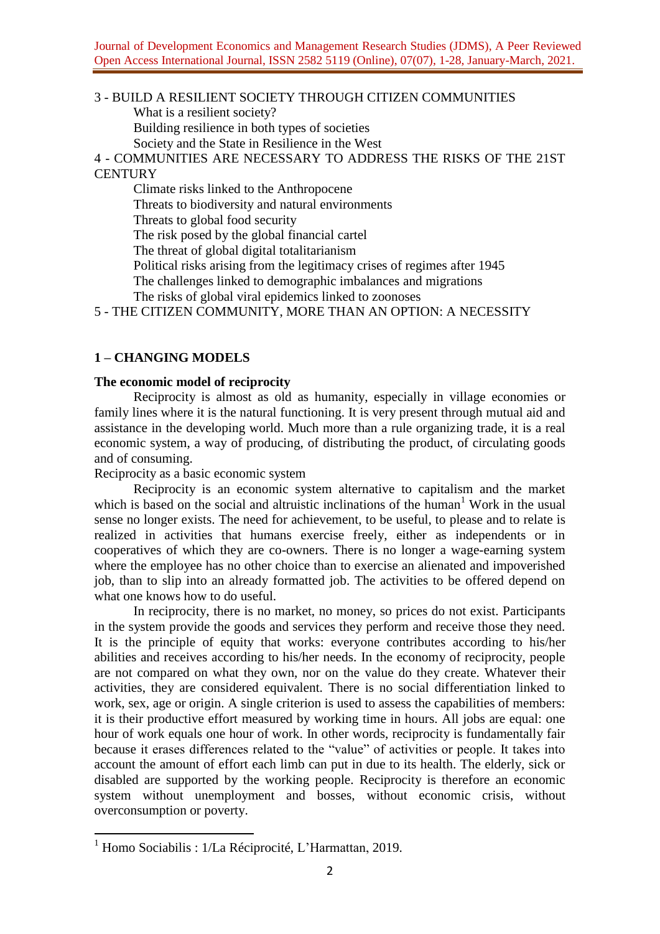# 3 - BUILD A RESILIENT SOCIETY THROUGH CITIZEN COMMUNITIES What is a resilient society? Building resilience in both types of societies

Society and the State in Resilience in the West

4 - COMMUNITIES ARE NECESSARY TO ADDRESS THE RISKS OF THE 21ST **CENTURY** 

Climate risks linked to the Anthropocene

Threats to biodiversity and natural environments

Threats to global food security

The risk posed by the global financial cartel

The threat of global digital totalitarianism

Political risks arising from the legitimacy crises of regimes after 1945

The challenges linked to demographic imbalances and migrations

The risks of global viral epidemics linked to zoonoses

5 - THE CITIZEN COMMUNITY, MORE THAN AN OPTION: A NECESSITY

# **1 – CHANGING MODELS**

# **The economic model of reciprocity**

Reciprocity is almost as old as humanity, especially in village economies or family lines where it is the natural functioning. It is very present through mutual aid and assistance in the developing world. Much more than a rule organizing trade, it is a real economic system, a way of producing, of distributing the product, of circulating goods and of consuming.

Reciprocity as a basic economic system

Reciprocity is an economic system alternative to capitalism and the market which is based on the social and altruistic inclinations of the human<sup>1</sup> Work in the usual sense no longer exists. The need for achievement, to be useful, to please and to relate is realized in activities that humans exercise freely, either as independents or in cooperatives of which they are co-owners. There is no longer a wage-earning system where the employee has no other choice than to exercise an alienated and impoverished job, than to slip into an already formatted job. The activities to be offered depend on what one knows how to do useful.

In reciprocity, there is no market, no money, so prices do not exist. Participants in the system provide the goods and services they perform and receive those they need. It is the principle of equity that works: everyone contributes according to his/her abilities and receives according to his/her needs. In the economy of reciprocity, people are not compared on what they own, nor on the value do they create. Whatever their activities, they are considered equivalent. There is no social differentiation linked to work, sex, age or origin. A single criterion is used to assess the capabilities of members: it is their productive effort measured by working time in hours. All jobs are equal: one hour of work equals one hour of work. In other words, reciprocity is fundamentally fair because it erases differences related to the "value" of activities or people. It takes into account the amount of effort each limb can put in due to its health. The elderly, sick or disabled are supported by the working people. Reciprocity is therefore an economic system without unemployment and bosses, without economic crisis, without overconsumption or poverty.

 $1$  Homo Sociabilis :  $1/La$  Réciprocité, L'Harmattan, 2019.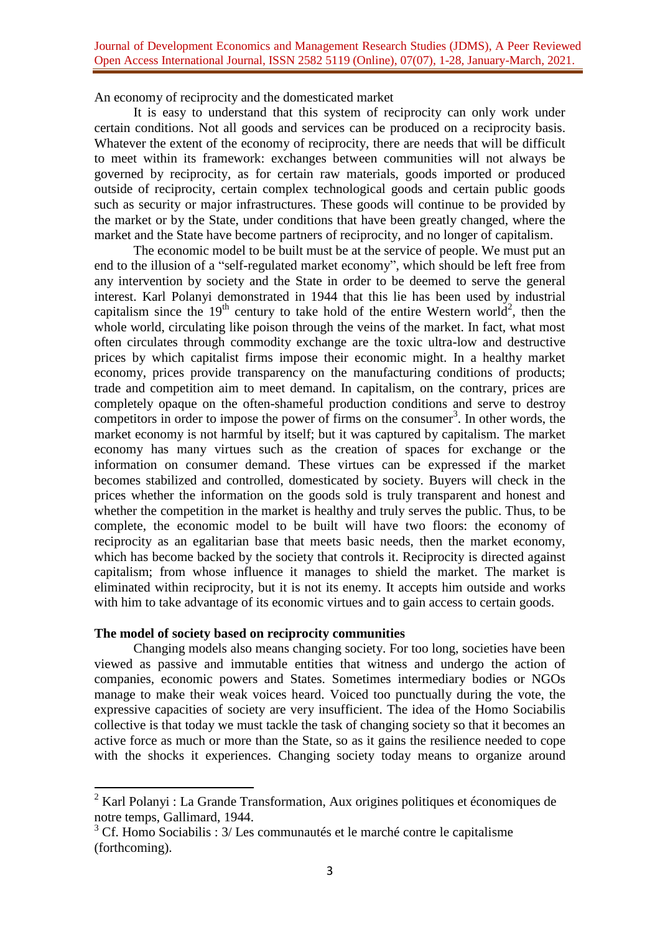An economy of reciprocity and the domesticated market

It is easy to understand that this system of reciprocity can only work under certain conditions. Not all goods and services can be produced on a reciprocity basis. Whatever the extent of the economy of reciprocity, there are needs that will be difficult to meet within its framework: exchanges between communities will not always be governed by reciprocity, as for certain raw materials, goods imported or produced outside of reciprocity, certain complex technological goods and certain public goods such as security or major infrastructures. These goods will continue to be provided by the market or by the State, under conditions that have been greatly changed, where the market and the State have become partners of reciprocity, and no longer of capitalism.

The economic model to be built must be at the service of people. We must put an end to the illusion of a "self-regulated market economy", which should be left free from any intervention by society and the State in order to be deemed to serve the general interest. Karl Polanyi demonstrated in 1944 that this lie has been used by industrial capitalism since the  $19<sup>th</sup>$  century to take hold of the entire Western world<sup>2</sup>, then the whole world, circulating like poison through the veins of the market. In fact, what most often circulates through commodity exchange are the toxic ultra-low and destructive prices by which capitalist firms impose their economic might. In a healthy market economy, prices provide transparency on the manufacturing conditions of products; trade and competition aim to meet demand. In capitalism, on the contrary, prices are completely opaque on the often-shameful production conditions and serve to destroy competitors in order to impose the power of firms on the consumer<sup>3</sup>. In other words, the market economy is not harmful by itself; but it was captured by capitalism. The market economy has many virtues such as the creation of spaces for exchange or the information on consumer demand. These virtues can be expressed if the market becomes stabilized and controlled, domesticated by society. Buyers will check in the prices whether the information on the goods sold is truly transparent and honest and whether the competition in the market is healthy and truly serves the public. Thus, to be complete, the economic model to be built will have two floors: the economy of reciprocity as an egalitarian base that meets basic needs, then the market economy, which has become backed by the society that controls it. Reciprocity is directed against capitalism; from whose influence it manages to shield the market. The market is eliminated within reciprocity, but it is not its enemy. It accepts him outside and works with him to take advantage of its economic virtues and to gain access to certain goods.

# **The model of society based on reciprocity communities**

**.** 

Changing models also means changing society. For too long, societies have been viewed as passive and immutable entities that witness and undergo the action of companies, economic powers and States. Sometimes intermediary bodies or NGOs manage to make their weak voices heard. Voiced too punctually during the vote, the expressive capacities of society are very insufficient. The idea of the Homo Sociabilis collective is that today we must tackle the task of changing society so that it becomes an active force as much or more than the State, so as it gains the resilience needed to cope with the shocks it experiences. Changing society today means to organize around

 $2^{2}$  Karl Polanyi : La Grande Transformation, Aux origines politiques et économiques de notre temps, Gallimard, 1944.

 $3$  Cf. Homo Sociabilis :  $3/$  Les communautés et le marché contre le capitalisme (forthcoming).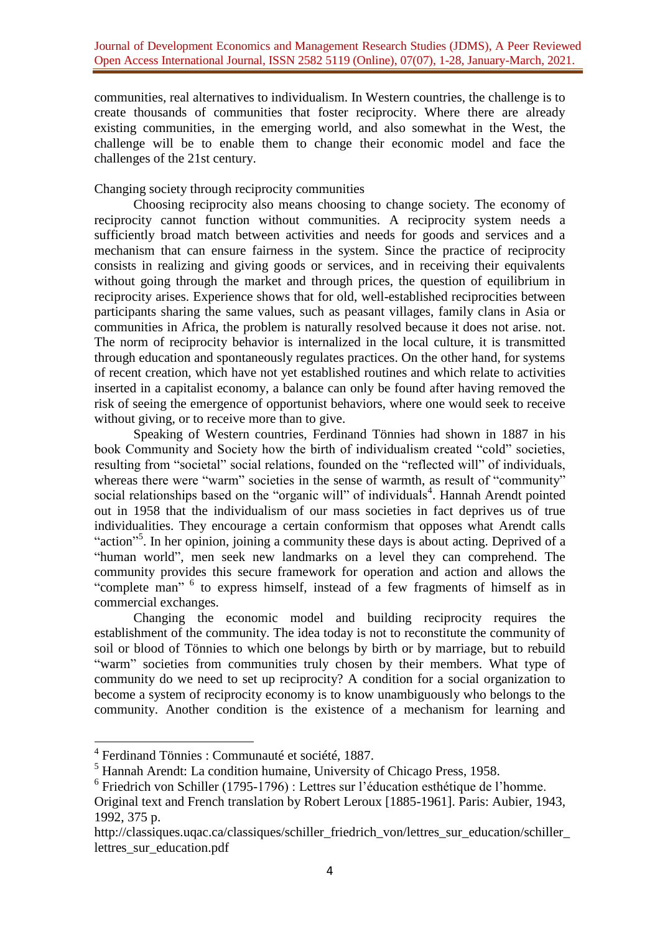communities, real alternatives to individualism. In Western countries, the challenge is to create thousands of communities that foster reciprocity. Where there are already existing communities, in the emerging world, and also somewhat in the West, the challenge will be to enable them to change their economic model and face the challenges of the 21st century.

# Changing society through reciprocity communities

Choosing reciprocity also means choosing to change society. The economy of reciprocity cannot function without communities. A reciprocity system needs a sufficiently broad match between activities and needs for goods and services and a mechanism that can ensure fairness in the system. Since the practice of reciprocity consists in realizing and giving goods or services, and in receiving their equivalents without going through the market and through prices, the question of equilibrium in reciprocity arises. Experience shows that for old, well-established reciprocities between participants sharing the same values, such as peasant villages, family clans in Asia or communities in Africa, the problem is naturally resolved because it does not arise. not. The norm of reciprocity behavior is internalized in the local culture, it is transmitted through education and spontaneously regulates practices. On the other hand, for systems of recent creation, which have not yet established routines and which relate to activities inserted in a capitalist economy, a balance can only be found after having removed the risk of seeing the emergence of opportunist behaviors, where one would seek to receive without giving, or to receive more than to give.

Speaking of Western countries, Ferdinand Tönnies had shown in 1887 in his book Community and Society how the birth of individualism created "cold" societies, resulting from "societal" social relations, founded on the "reflected will" of individuals, whereas there were "warm" societies in the sense of warmth, as result of "community" social relationships based on the "organic will" of individuals<sup>4</sup>. Hannah Arendt pointed out in 1958 that the individualism of our mass societies in fact deprives us of true individualities. They encourage a certain conformism that opposes what Arendt calls "action"<sup>5</sup>. In her opinion, joining a community these days is about acting. Deprived of a "human world", men seek new landmarks on a level they can comprehend. The community provides this secure framework for operation and action and allows the "complete man" <sup>6</sup> to express himself, instead of a few fragments of himself as in commercial exchanges.

Changing the economic model and building reciprocity requires the establishment of the community. The idea today is not to reconstitute the community of soil or blood of Tönnies to which one belongs by birth or by marriage, but to rebuild "warm" societies from communities truly chosen by their members. What type of community do we need to set up reciprocity? A condition for a social organization to become a system of reciprocity economy is to know unambiguously who belongs to the community. Another condition is the existence of a mechanism for learning and

<sup>4</sup> Ferdinand Tönnies : Communauté et société, 1887.

<sup>5</sup> Hannah Arendt: La condition humaine, University of Chicago Press, 1958.

<sup>6</sup> Friedrich von Schiller (1795-1796) : Lettres sur l'éducation esthétique de l'homme.

Original text and French translation by Robert Leroux [1885-1961]. Paris: Aubier, 1943, 1992, 375 p.

http://classiques.uqac.ca/classiques/schiller\_friedrich\_von/lettres\_sur\_education/schiller [lettres\\_sur\\_education.pdf](http://classiques.uqac.ca/classiques/schiller_friedrich_von/lettres_sur_education/schiller_lettres_sur_education.pdf)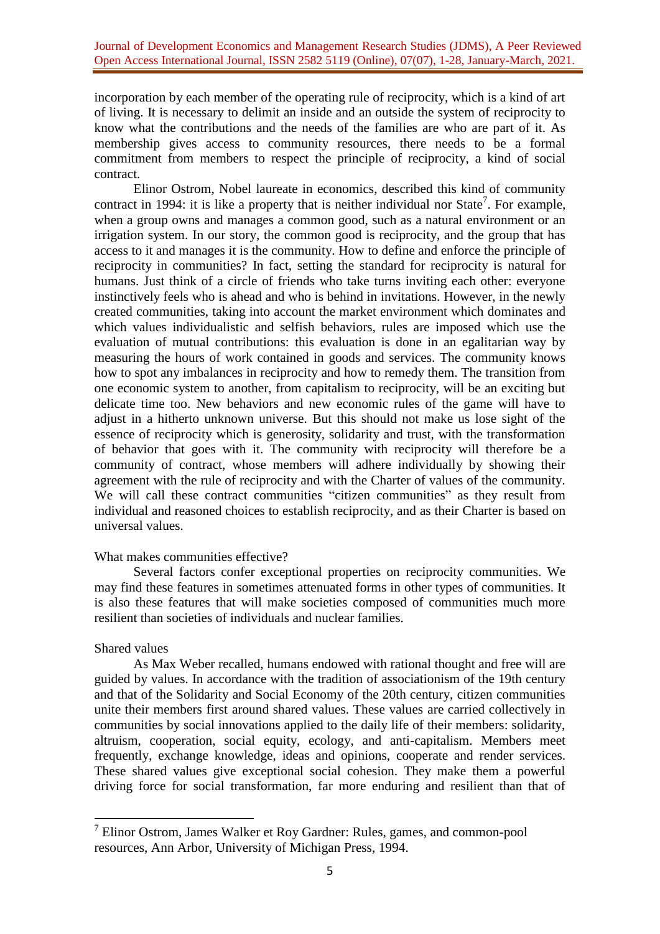incorporation by each member of the operating rule of reciprocity, which is a kind of art of living. It is necessary to delimit an inside and an outside the system of reciprocity to know what the contributions and the needs of the families are who are part of it. As membership gives access to community resources, there needs to be a formal commitment from members to respect the principle of reciprocity, a kind of social contract.

Elinor Ostrom, Nobel laureate in economics, described this kind of community contract in 1994: it is like a property that is neither individual nor State<sup>7</sup>. For example, when a group owns and manages a common good, such as a natural environment or an irrigation system. In our story, the common good is reciprocity, and the group that has access to it and manages it is the community. How to define and enforce the principle of reciprocity in communities? In fact, setting the standard for reciprocity is natural for humans. Just think of a circle of friends who take turns inviting each other: everyone instinctively feels who is ahead and who is behind in invitations. However, in the newly created communities, taking into account the market environment which dominates and which values individualistic and selfish behaviors, rules are imposed which use the evaluation of mutual contributions: this evaluation is done in an egalitarian way by measuring the hours of work contained in goods and services. The community knows how to spot any imbalances in reciprocity and how to remedy them. The transition from one economic system to another, from capitalism to reciprocity, will be an exciting but delicate time too. New behaviors and new economic rules of the game will have to adjust in a hitherto unknown universe. But this should not make us lose sight of the essence of reciprocity which is generosity, solidarity and trust, with the transformation of behavior that goes with it. The community with reciprocity will therefore be a community of contract, whose members will adhere individually by showing their agreement with the rule of reciprocity and with the Charter of values of the community. We will call these contract communities "citizen communities" as they result from individual and reasoned choices to establish reciprocity, and as their Charter is based on universal values.

# What makes communities effective?

Several factors confer exceptional properties on reciprocity communities. We may find these features in sometimes attenuated forms in other types of communities. It is also these features that will make societies composed of communities much more resilient than societies of individuals and nuclear families.

# Shared values

As Max Weber recalled, humans endowed with rational thought and free will are guided by values. In accordance with the tradition of associationism of the 19th century and that of the Solidarity and Social Economy of the 20th century, citizen communities unite their members first around shared values. These values are carried collectively in communities by social innovations applied to the daily life of their members: solidarity, altruism, cooperation, social equity, ecology, and anti-capitalism. Members meet frequently, exchange knowledge, ideas and opinions, cooperate and render services. These shared values give exceptional social cohesion. They make them a powerful driving force for social transformation, far more enduring and resilient than that of

**<sup>.</sup>** <sup>7</sup> Elinor Ostrom, James Walker et Roy Gardner: Rules, games, and common-pool resources, Ann Arbor, University of Michigan Press, 1994.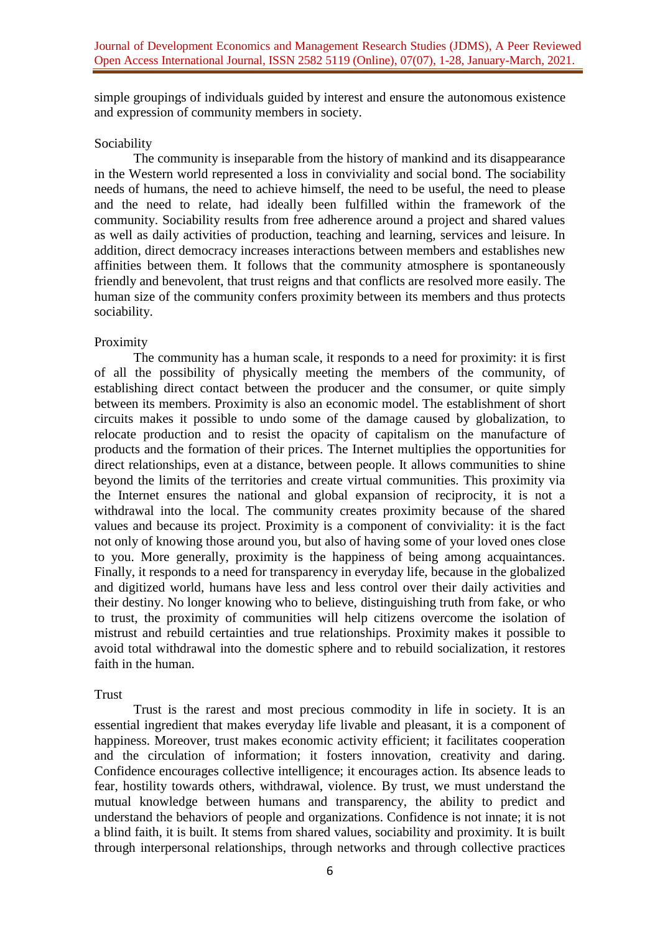simple groupings of individuals guided by interest and ensure the autonomous existence and expression of community members in society.

## Sociability

The community is inseparable from the history of mankind and its disappearance in the Western world represented a loss in conviviality and social bond. The sociability needs of humans, the need to achieve himself, the need to be useful, the need to please and the need to relate, had ideally been fulfilled within the framework of the community. Sociability results from free adherence around a project and shared values as well as daily activities of production, teaching and learning, services and leisure. In addition, direct democracy increases interactions between members and establishes new affinities between them. It follows that the community atmosphere is spontaneously friendly and benevolent, that trust reigns and that conflicts are resolved more easily. The human size of the community confers proximity between its members and thus protects sociability.

### Proximity

The community has a human scale, it responds to a need for proximity: it is first of all the possibility of physically meeting the members of the community, of establishing direct contact between the producer and the consumer, or quite simply between its members. Proximity is also an economic model. The establishment of short circuits makes it possible to undo some of the damage caused by globalization, to relocate production and to resist the opacity of capitalism on the manufacture of products and the formation of their prices. The Internet multiplies the opportunities for direct relationships, even at a distance, between people. It allows communities to shine beyond the limits of the territories and create virtual communities. This proximity via the Internet ensures the national and global expansion of reciprocity, it is not a withdrawal into the local. The community creates proximity because of the shared values and because its project. Proximity is a component of conviviality: it is the fact not only of knowing those around you, but also of having some of your loved ones close to you. More generally, proximity is the happiness of being among acquaintances. Finally, it responds to a need for transparency in everyday life, because in the globalized and digitized world, humans have less and less control over their daily activities and their destiny. No longer knowing who to believe, distinguishing truth from fake, or who to trust, the proximity of communities will help citizens overcome the isolation of mistrust and rebuild certainties and true relationships. Proximity makes it possible to avoid total withdrawal into the domestic sphere and to rebuild socialization, it restores faith in the human.

#### **Trust**

Trust is the rarest and most precious commodity in life in society. It is an essential ingredient that makes everyday life livable and pleasant, it is a component of happiness. Moreover, trust makes economic activity efficient; it facilitates cooperation and the circulation of information; it fosters innovation, creativity and daring. Confidence encourages collective intelligence; it encourages action. Its absence leads to fear, hostility towards others, withdrawal, violence. By trust, we must understand the mutual knowledge between humans and transparency, the ability to predict and understand the behaviors of people and organizations. Confidence is not innate; it is not a blind faith, it is built. It stems from shared values, sociability and proximity. It is built through interpersonal relationships, through networks and through collective practices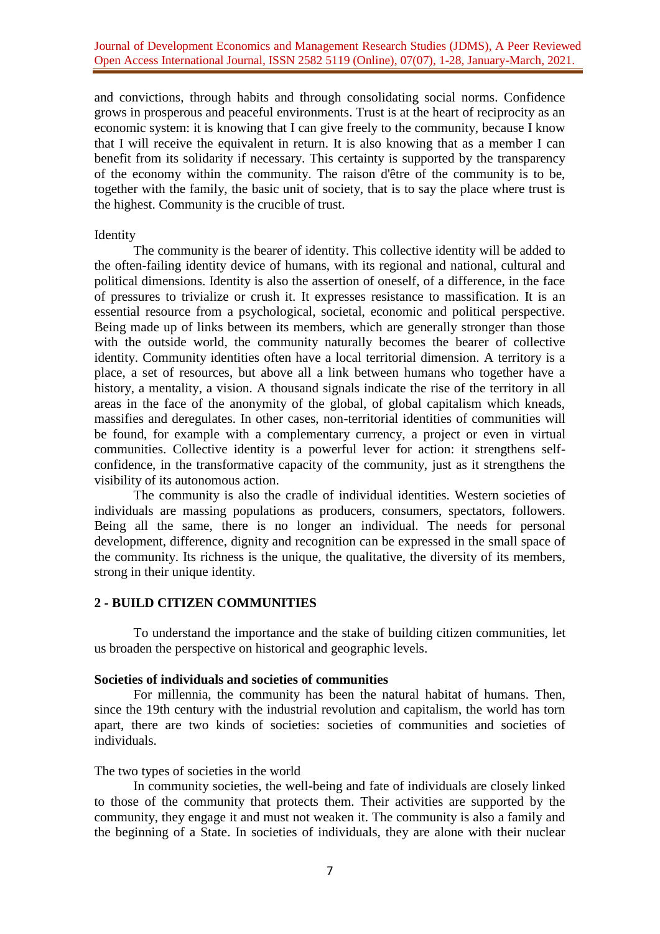and convictions, through habits and through consolidating social norms. Confidence grows in prosperous and peaceful environments. Trust is at the heart of reciprocity as an economic system: it is knowing that I can give freely to the community, because I know that I will receive the equivalent in return. It is also knowing that as a member I can benefit from its solidarity if necessary. This certainty is supported by the transparency of the economy within the community. The raison d'être of the community is to be, together with the family, the basic unit of society, that is to say the place where trust is the highest. Community is the crucible of trust.

### Identity

The community is the bearer of identity. This collective identity will be added to the often-failing identity device of humans, with its regional and national, cultural and political dimensions. Identity is also the assertion of oneself, of a difference, in the face of pressures to trivialize or crush it. It expresses resistance to massification. It is an essential resource from a psychological, societal, economic and political perspective. Being made up of links between its members, which are generally stronger than those with the outside world, the community naturally becomes the bearer of collective identity. Community identities often have a local territorial dimension. A territory is a place, a set of resources, but above all a link between humans who together have a history, a mentality, a vision. A thousand signals indicate the rise of the territory in all areas in the face of the anonymity of the global, of global capitalism which kneads, massifies and deregulates. In other cases, non-territorial identities of communities will be found, for example with a complementary currency, a project or even in virtual communities. Collective identity is a powerful lever for action: it strengthens selfconfidence, in the transformative capacity of the community, just as it strengthens the visibility of its autonomous action.

The community is also the cradle of individual identities. Western societies of individuals are massing populations as producers, consumers, spectators, followers. Being all the same, there is no longer an individual. The needs for personal development, difference, dignity and recognition can be expressed in the small space of the community. Its richness is the unique, the qualitative, the diversity of its members, strong in their unique identity.

# **2 - BUILD CITIZEN COMMUNITIES**

To understand the importance and the stake of building citizen communities, let us broaden the perspective on historical and geographic levels.

### **Societies of individuals and societies of communities**

For millennia, the community has been the natural habitat of humans. Then, since the 19th century with the industrial revolution and capitalism, the world has torn apart, there are two kinds of societies: societies of communities and societies of individuals.

# The two types of societies in the world

In community societies, the well-being and fate of individuals are closely linked to those of the community that protects them. Their activities are supported by the community, they engage it and must not weaken it. The community is also a family and the beginning of a State. In societies of individuals, they are alone with their nuclear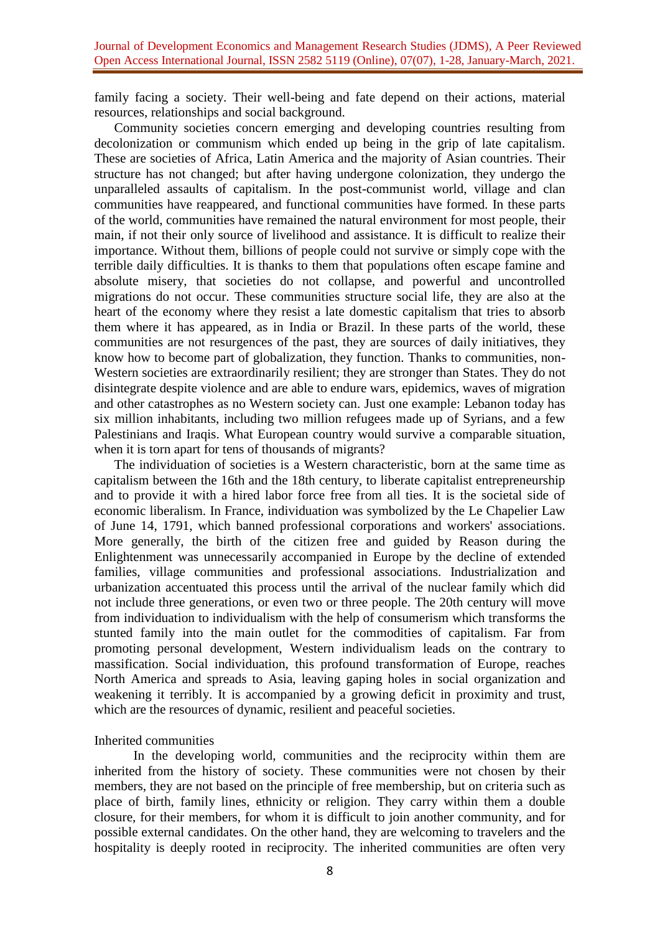family facing a society. Their well-being and fate depend on their actions, material resources, relationships and social background.

Community societies concern emerging and developing countries resulting from decolonization or communism which ended up being in the grip of late capitalism. These are societies of Africa, Latin America and the majority of Asian countries. Their structure has not changed; but after having undergone colonization, they undergo the unparalleled assaults of capitalism. In the post-communist world, village and clan communities have reappeared, and functional communities have formed. In these parts of the world, communities have remained the natural environment for most people, their main, if not their only source of livelihood and assistance. It is difficult to realize their importance. Without them, billions of people could not survive or simply cope with the terrible daily difficulties. It is thanks to them that populations often escape famine and absolute misery, that societies do not collapse, and powerful and uncontrolled migrations do not occur. These communities structure social life, they are also at the heart of the economy where they resist a late domestic capitalism that tries to absorb them where it has appeared, as in India or Brazil. In these parts of the world, these communities are not resurgences of the past, they are sources of daily initiatives, they know how to become part of globalization, they function. Thanks to communities, non-Western societies are extraordinarily resilient; they are stronger than States. They do not disintegrate despite violence and are able to endure wars, epidemics, waves of migration and other catastrophes as no Western society can. Just one example: Lebanon today has six million inhabitants, including two million refugees made up of Syrians, and a few Palestinians and Iraqis. What European country would survive a comparable situation, when it is torn apart for tens of thousands of migrants?

The individuation of societies is a Western characteristic, born at the same time as capitalism between the 16th and the 18th century, to liberate capitalist entrepreneurship and to provide it with a hired labor force free from all ties. It is the societal side of economic liberalism. In France, individuation was symbolized by the Le Chapelier Law of June 14, 1791, which banned professional corporations and workers' associations. More generally, the birth of the citizen free and guided by Reason during the Enlightenment was unnecessarily accompanied in Europe by the decline of extended families, village communities and professional associations. Industrialization and urbanization accentuated this process until the arrival of the nuclear family which did not include three generations, or even two or three people. The 20th century will move from individuation to individualism with the help of consumerism which transforms the stunted family into the main outlet for the commodities of capitalism. Far from promoting personal development, Western individualism leads on the contrary to massification. Social individuation, this profound transformation of Europe, reaches North America and spreads to Asia, leaving gaping holes in social organization and weakening it terribly. It is accompanied by a growing deficit in proximity and trust, which are the resources of dynamic, resilient and peaceful societies.

#### Inherited communities

In the developing world, communities and the reciprocity within them are inherited from the history of society. These communities were not chosen by their members, they are not based on the principle of free membership, but on criteria such as place of birth, family lines, ethnicity or religion. They carry within them a double closure, for their members, for whom it is difficult to join another community, and for possible external candidates. On the other hand, they are welcoming to travelers and the hospitality is deeply rooted in reciprocity. The inherited communities are often very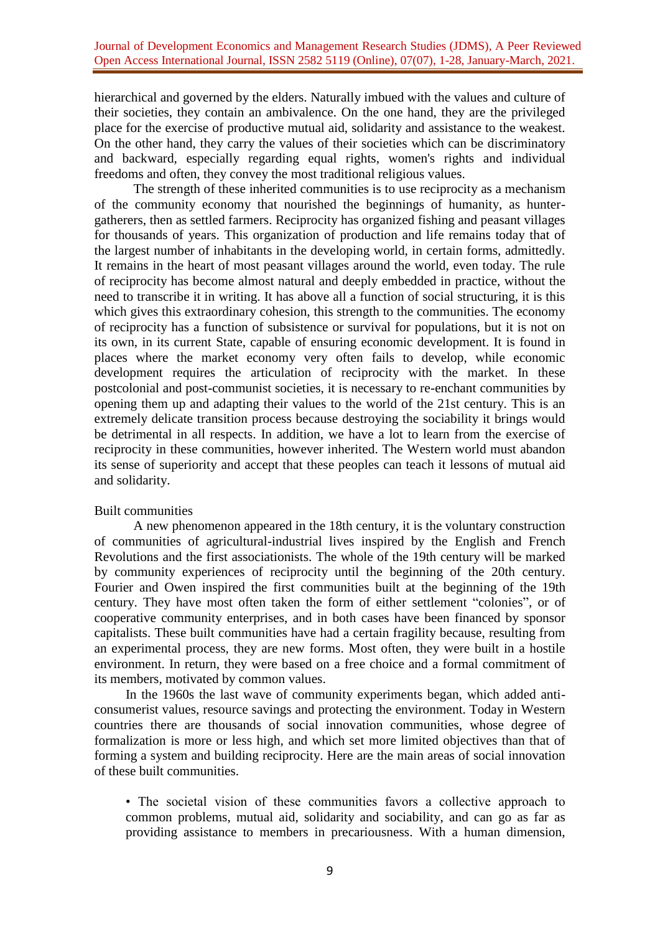hierarchical and governed by the elders. Naturally imbued with the values and culture of their societies, they contain an ambivalence. On the one hand, they are the privileged place for the exercise of productive mutual aid, solidarity and assistance to the weakest. On the other hand, they carry the values of their societies which can be discriminatory and backward, especially regarding equal rights, women's rights and individual freedoms and often, they convey the most traditional religious values.

The strength of these inherited communities is to use reciprocity as a mechanism of the community economy that nourished the beginnings of humanity, as huntergatherers, then as settled farmers. Reciprocity has organized fishing and peasant villages for thousands of years. This organization of production and life remains today that of the largest number of inhabitants in the developing world, in certain forms, admittedly. It remains in the heart of most peasant villages around the world, even today. The rule of reciprocity has become almost natural and deeply embedded in practice, without the need to transcribe it in writing. It has above all a function of social structuring, it is this which gives this extraordinary cohesion, this strength to the communities. The economy of reciprocity has a function of subsistence or survival for populations, but it is not on its own, in its current State, capable of ensuring economic development. It is found in places where the market economy very often fails to develop, while economic development requires the articulation of reciprocity with the market. In these postcolonial and post-communist societies, it is necessary to re-enchant communities by opening them up and adapting their values to the world of the 21st century. This is an extremely delicate transition process because destroying the sociability it brings would be detrimental in all respects. In addition, we have a lot to learn from the exercise of reciprocity in these communities, however inherited. The Western world must abandon its sense of superiority and accept that these peoples can teach it lessons of mutual aid and solidarity.

# Built communities

A new phenomenon appeared in the 18th century, it is the voluntary construction of communities of agricultural-industrial lives inspired by the English and French Revolutions and the first associationists. The whole of the 19th century will be marked by community experiences of reciprocity until the beginning of the 20th century. Fourier and Owen inspired the first communities built at the beginning of the 19th century. They have most often taken the form of either settlement "colonies", or of cooperative community enterprises, and in both cases have been financed by sponsor capitalists. These built communities have had a certain fragility because, resulting from an experimental process, they are new forms. Most often, they were built in a hostile environment. In return, they were based on a free choice and a formal commitment of its members, motivated by common values.

In the 1960s the last wave of community experiments began, which added anticonsumerist values, resource savings and protecting the environment. Today in Western countries there are thousands of social innovation communities, whose degree of formalization is more or less high, and which set more limited objectives than that of forming a system and building reciprocity. Here are the main areas of social innovation of these built communities.

• The societal vision of these communities favors a collective approach to common problems, mutual aid, solidarity and sociability, and can go as far as providing assistance to members in precariousness. With a human dimension,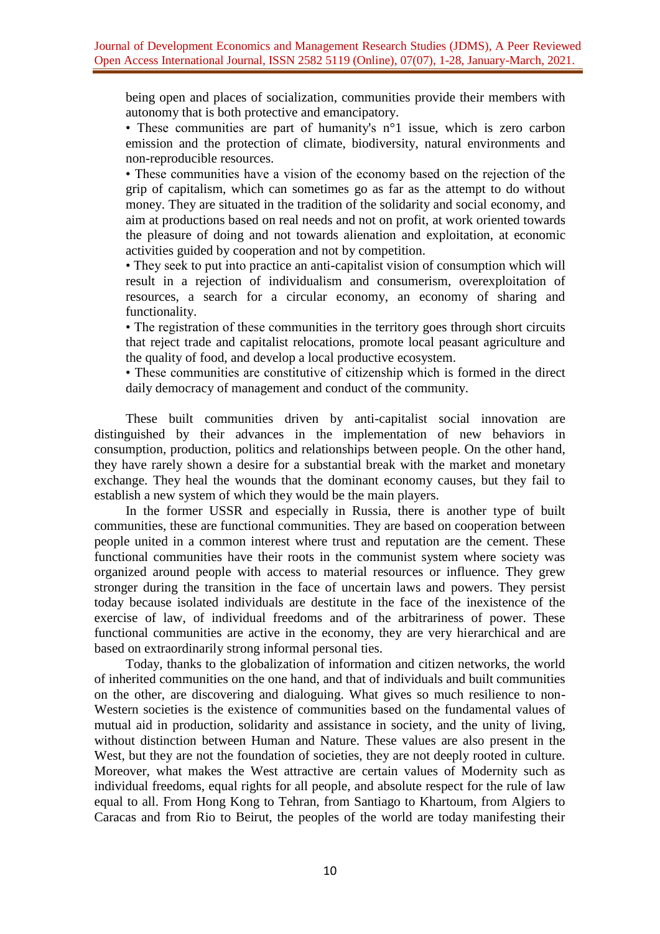being open and places of socialization, communities provide their members with autonomy that is both protective and emancipatory.

• These communities are part of humanity's n<sup>o</sup>1 issue, which is zero carbon emission and the protection of climate, biodiversity, natural environments and non-reproducible resources.

• These communities have a vision of the economy based on the rejection of the grip of capitalism, which can sometimes go as far as the attempt to do without money. They are situated in the tradition of the solidarity and social economy, and aim at productions based on real needs and not on profit, at work oriented towards the pleasure of doing and not towards alienation and exploitation, at economic activities guided by cooperation and not by competition.

• They seek to put into practice an anti-capitalist vision of consumption which will result in a rejection of individualism and consumerism, overexploitation of resources, a search for a circular economy, an economy of sharing and functionality.

• The registration of these communities in the territory goes through short circuits that reject trade and capitalist relocations, promote local peasant agriculture and the quality of food, and develop a local productive ecosystem.

• These communities are constitutive of citizenship which is formed in the direct daily democracy of management and conduct of the community.

These built communities driven by anti-capitalist social innovation are distinguished by their advances in the implementation of new behaviors in consumption, production, politics and relationships between people. On the other hand, they have rarely shown a desire for a substantial break with the market and monetary exchange. They heal the wounds that the dominant economy causes, but they fail to establish a new system of which they would be the main players.

In the former USSR and especially in Russia, there is another type of built communities, these are functional communities. They are based on cooperation between people united in a common interest where trust and reputation are the cement. These functional communities have their roots in the communist system where society was organized around people with access to material resources or influence. They grew stronger during the transition in the face of uncertain laws and powers. They persist today because isolated individuals are destitute in the face of the inexistence of the exercise of law, of individual freedoms and of the arbitrariness of power. These functional communities are active in the economy, they are very hierarchical and are based on extraordinarily strong informal personal ties.

Today, thanks to the globalization of information and citizen networks, the world of inherited communities on the one hand, and that of individuals and built communities on the other, are discovering and dialoguing. What gives so much resilience to non-Western societies is the existence of communities based on the fundamental values of mutual aid in production, solidarity and assistance in society, and the unity of living, without distinction between Human and Nature. These values are also present in the West, but they are not the foundation of societies, they are not deeply rooted in culture. Moreover, what makes the West attractive are certain values of Modernity such as individual freedoms, equal rights for all people, and absolute respect for the rule of law equal to all. From Hong Kong to Tehran, from Santiago to Khartoum, from Algiers to Caracas and from Rio to Beirut, the peoples of the world are today manifesting their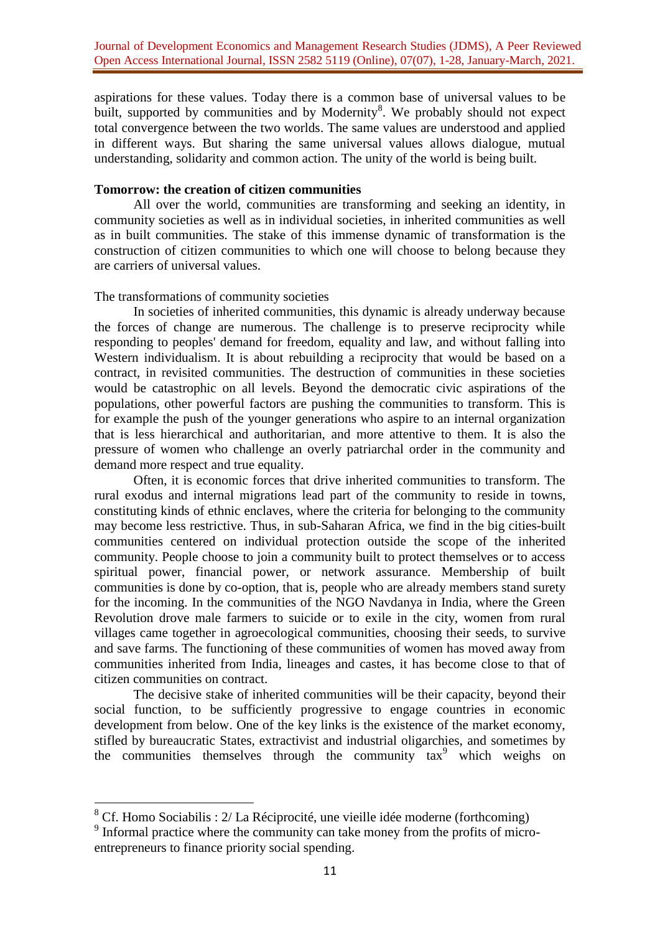aspirations for these values. Today there is a common base of universal values to be built, supported by communities and by Modernity<sup>8</sup>. We probably should not expect total convergence between the two worlds. The same values are understood and applied in different ways. But sharing the same universal values allows dialogue, mutual understanding, solidarity and common action. The unity of the world is being built.

### **Tomorrow: the creation of citizen communities**

All over the world, communities are transforming and seeking an identity, in community societies as well as in individual societies, in inherited communities as well as in built communities. The stake of this immense dynamic of transformation is the construction of citizen communities to which one will choose to belong because they are carriers of universal values.

#### The transformations of community societies

In societies of inherited communities, this dynamic is already underway because the forces of change are numerous. The challenge is to preserve reciprocity while responding to peoples' demand for freedom, equality and law, and without falling into Western individualism. It is about rebuilding a reciprocity that would be based on a contract, in revisited communities. The destruction of communities in these societies would be catastrophic on all levels. Beyond the democratic civic aspirations of the populations, other powerful factors are pushing the communities to transform. This is for example the push of the younger generations who aspire to an internal organization that is less hierarchical and authoritarian, and more attentive to them. It is also the pressure of women who challenge an overly patriarchal order in the community and demand more respect and true equality.

Often, it is economic forces that drive inherited communities to transform. The rural exodus and internal migrations lead part of the community to reside in towns, constituting kinds of ethnic enclaves, where the criteria for belonging to the community may become less restrictive. Thus, in sub-Saharan Africa, we find in the big cities-built communities centered on individual protection outside the scope of the inherited community. People choose to join a community built to protect themselves or to access spiritual power, financial power, or network assurance. Membership of built communities is done by co-option, that is, people who are already members stand surety for the incoming. In the communities of the NGO Navdanya in India, where the Green Revolution drove male farmers to suicide or to exile in the city, women from rural villages came together in agroecological communities, choosing their seeds, to survive and save farms. The functioning of these communities of women has moved away from communities inherited from India, lineages and castes, it has become close to that of citizen communities on contract.

The decisive stake of inherited communities will be their capacity, beyond their social function, to be sufficiently progressive to engage countries in economic development from below. One of the key links is the existence of the market economy, stifled by bureaucratic States, extractivist and industrial oligarchies, and sometimes by the communities themselves through the community  $\arctan^9$  which weighs on

**<sup>.</sup>**  $8$  Cf. Homo Sociabilis : 2/ La Réciprocité, une vieille idée moderne (forthcoming)

<sup>&</sup>lt;sup>9</sup> Informal practice where the community can take money from the profits of microentrepreneurs to finance priority social spending.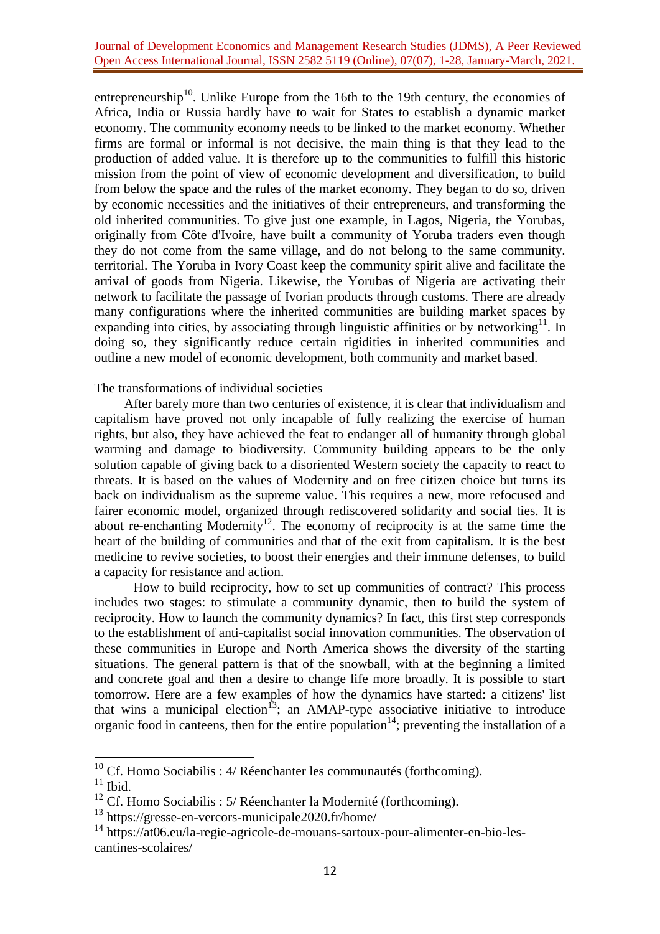entrepreneurship<sup>10</sup>. Unlike Europe from the 16th to the 19th century, the economies of Africa, India or Russia hardly have to wait for States to establish a dynamic market economy. The community economy needs to be linked to the market economy. Whether firms are formal or informal is not decisive, the main thing is that they lead to the production of added value. It is therefore up to the communities to fulfill this historic mission from the point of view of economic development and diversification, to build from below the space and the rules of the market economy. They began to do so, driven by economic necessities and the initiatives of their entrepreneurs, and transforming the old inherited communities. To give just one example, in Lagos, Nigeria, the Yorubas, originally from Côte d'Ivoire, have built a community of Yoruba traders even though they do not come from the same village, and do not belong to the same community. territorial. The Yoruba in Ivory Coast keep the community spirit alive and facilitate the arrival of goods from Nigeria. Likewise, the Yorubas of Nigeria are activating their network to facilitate the passage of Ivorian products through customs. There are already many configurations where the inherited communities are building market spaces by expanding into cities, by associating through linguistic affinities or by networking $11$ . In doing so, they significantly reduce certain rigidities in inherited communities and outline a new model of economic development, both community and market based.

### The transformations of individual societies

After barely more than two centuries of existence, it is clear that individualism and capitalism have proved not only incapable of fully realizing the exercise of human rights, but also, they have achieved the feat to endanger all of humanity through global warming and damage to biodiversity. Community building appears to be the only solution capable of giving back to a disoriented Western society the capacity to react to threats. It is based on the values of Modernity and on free citizen choice but turns its back on individualism as the supreme value. This requires a new, more refocused and fairer economic model, organized through rediscovered solidarity and social ties. It is about re-enchanting Modernity<sup>12</sup>. The economy of reciprocity is at the same time the heart of the building of communities and that of the exit from capitalism. It is the best medicine to revive societies, to boost their energies and their immune defenses, to build a capacity for resistance and action.

How to build reciprocity, how to set up communities of contract? This process includes two stages: to stimulate a community dynamic, then to build the system of reciprocity. How to launch the community dynamics? In fact, this first step corresponds to the establishment of anti-capitalist social innovation communities. The observation of these communities in Europe and North America shows the diversity of the starting situations. The general pattern is that of the snowball, with at the beginning a limited and concrete goal and then a desire to change life more broadly. It is possible to start tomorrow. Here are a few examples of how the dynamics have started: a citizens' list that wins a municipal election<sup>13</sup>; an AMAP-type associative initiative to introduce organic food in canteens, then for the entire population<sup>14</sup>; preventing the installation of a

 $10$  Cf. Homo Sociabilis : 4/ Réenchanter les communautés (forthcoming).

 $11$  Ibid.

 $12$  Cf. Homo Sociabilis : 5/ Réenchanter la Modernité (forthcoming).

<sup>13</sup> <https://gresse-en-vercors-municipale2020.fr/home/>

<sup>14</sup> [https://at06.eu/la-regie-agricole-de-mouans-sartoux-pour-alimenter-en-bio-les](https://at06.eu/la-regie-agricole-de-mouans-sartoux-pour-alimenter-en-bio-les-cantines-scolaires/)[cantines-scolaires/](https://at06.eu/la-regie-agricole-de-mouans-sartoux-pour-alimenter-en-bio-les-cantines-scolaires/)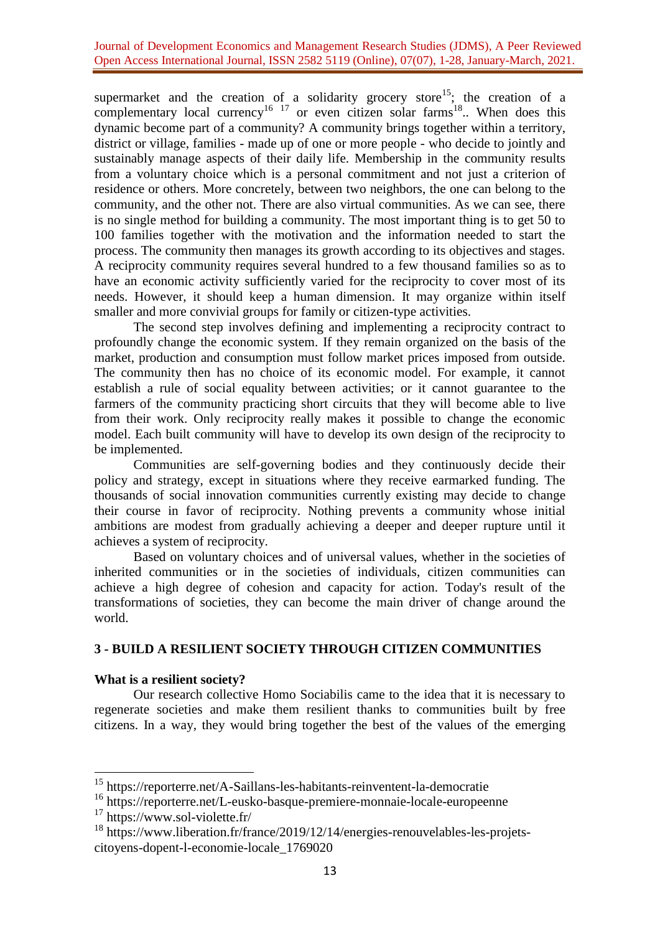### Journal of Development Economics and Management Research Studies (JDMS), A Peer Reviewed Open Access International Journal, ISSN 2582 5119 (Online), 07(07), 1-28, January-March, 2021.

supermarket and the creation of a solidarity grocery store<sup>15</sup>; the creation of a complementary local currency<sup>16 17</sup> or even citizen solar farms<sup>18</sup>.. When does this dynamic become part of a community? A community brings together within a territory, district or village, families - made up of one or more people - who decide to jointly and sustainably manage aspects of their daily life. Membership in the community results from a voluntary choice which is a personal commitment and not just a criterion of residence or others. More concretely, between two neighbors, the one can belong to the community, and the other not. There are also virtual communities. As we can see, there is no single method for building a community. The most important thing is to get 50 to 100 families together with the motivation and the information needed to start the process. The community then manages its growth according to its objectives and stages. A reciprocity community requires several hundred to a few thousand families so as to have an economic activity sufficiently varied for the reciprocity to cover most of its needs. However, it should keep a human dimension. It may organize within itself smaller and more convivial groups for family or citizen-type activities.

The second step involves defining and implementing a reciprocity contract to profoundly change the economic system. If they remain organized on the basis of the market, production and consumption must follow market prices imposed from outside. The community then has no choice of its economic model. For example, it cannot establish a rule of social equality between activities; or it cannot guarantee to the farmers of the community practicing short circuits that they will become able to live from their work. Only reciprocity really makes it possible to change the economic model. Each built community will have to develop its own design of the reciprocity to be implemented.

Communities are self-governing bodies and they continuously decide their policy and strategy, except in situations where they receive earmarked funding. The thousands of social innovation communities currently existing may decide to change their course in favor of reciprocity. Nothing prevents a community whose initial ambitions are modest from gradually achieving a deeper and deeper rupture until it achieves a system of reciprocity.

Based on voluntary choices and of universal values, whether in the societies of inherited communities or in the societies of individuals, citizen communities can achieve a high degree of cohesion and capacity for action. Today's result of the transformations of societies, they can become the main driver of change around the world.

# **3 - BUILD A RESILIENT SOCIETY THROUGH CITIZEN COMMUNITIES**

# **What is a resilient society?**

Our research collective Homo Sociabilis came to the idea that it is necessary to regenerate societies and make them resilient thanks to communities built by free citizens. In a way, they would bring together the best of the values of the emerging

<sup>&</sup>lt;sup>15</sup> <https://reporterre.net/A-Saillans-les-habitants-reinventent-la-democratie>

<sup>&</sup>lt;sup>16</sup> <https://reporterre.net/L-eusko-basque-premiere-monnaie-locale-europeenne>

<sup>&</sup>lt;sup>17</sup> <https://www.sol-violette.fr/>

<sup>18</sup> [https://www.liberation.fr/france/2019/12/14/energies-renouvelables-les-projets](https://www.liberation.fr/france/2019/12/14/energies-renouvelables-les-projets-citoyens-dopent-l-economie-locale_1769020)[citoyens-dopent-l-economie-locale\\_1769020](https://www.liberation.fr/france/2019/12/14/energies-renouvelables-les-projets-citoyens-dopent-l-economie-locale_1769020)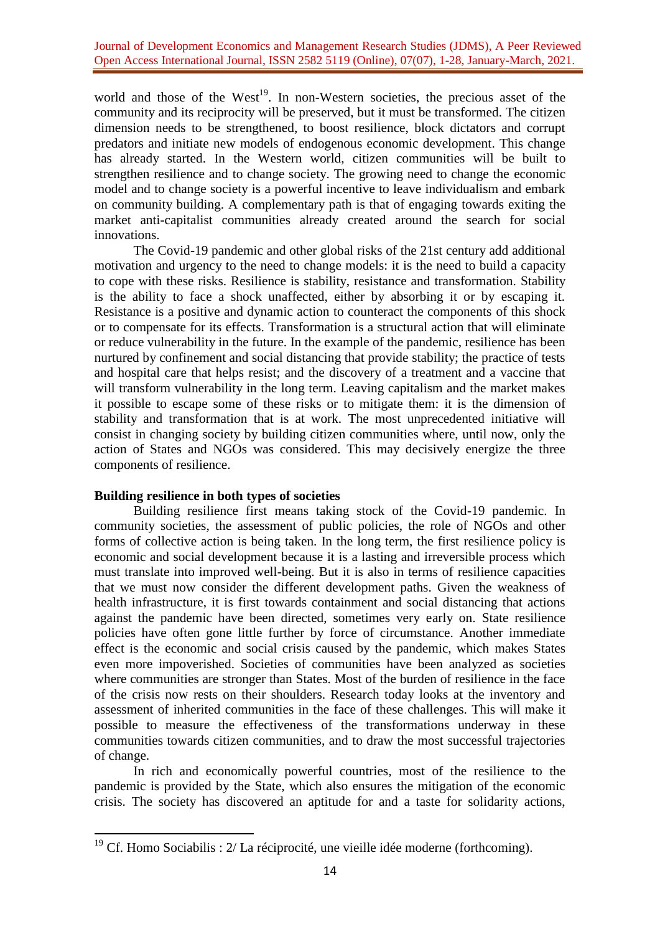world and those of the West<sup>19</sup>. In non-Western societies, the precious asset of the community and its reciprocity will be preserved, but it must be transformed. The citizen dimension needs to be strengthened, to boost resilience, block dictators and corrupt predators and initiate new models of endogenous economic development. This change has already started. In the Western world, citizen communities will be built to strengthen resilience and to change society. The growing need to change the economic model and to change society is a powerful incentive to leave individualism and embark on community building. A complementary path is that of engaging towards exiting the market anti-capitalist communities already created around the search for social innovations.

The Covid-19 pandemic and other global risks of the 21st century add additional motivation and urgency to the need to change models: it is the need to build a capacity to cope with these risks. Resilience is stability, resistance and transformation. Stability is the ability to face a shock unaffected, either by absorbing it or by escaping it. Resistance is a positive and dynamic action to counteract the components of this shock or to compensate for its effects. Transformation is a structural action that will eliminate or reduce vulnerability in the future. In the example of the pandemic, resilience has been nurtured by confinement and social distancing that provide stability; the practice of tests and hospital care that helps resist; and the discovery of a treatment and a vaccine that will transform vulnerability in the long term. Leaving capitalism and the market makes it possible to escape some of these risks or to mitigate them: it is the dimension of stability and transformation that is at work. The most unprecedented initiative will consist in changing society by building citizen communities where, until now, only the action of States and NGOs was considered. This may decisively energize the three components of resilience.

# **Building resilience in both types of societies**

**.** 

Building resilience first means taking stock of the Covid-19 pandemic. In community societies, the assessment of public policies, the role of NGOs and other forms of collective action is being taken. In the long term, the first resilience policy is economic and social development because it is a lasting and irreversible process which must translate into improved well-being. But it is also in terms of resilience capacities that we must now consider the different development paths. Given the weakness of health infrastructure, it is first towards containment and social distancing that actions against the pandemic have been directed, sometimes very early on. State resilience policies have often gone little further by force of circumstance. Another immediate effect is the economic and social crisis caused by the pandemic, which makes States even more impoverished. Societies of communities have been analyzed as societies where communities are stronger than States. Most of the burden of resilience in the face of the crisis now rests on their shoulders. Research today looks at the inventory and assessment of inherited communities in the face of these challenges. This will make it possible to measure the effectiveness of the transformations underway in these communities towards citizen communities, and to draw the most successful trajectories of change.

In rich and economically powerful countries, most of the resilience to the pandemic is provided by the State, which also ensures the mitigation of the economic crisis. The society has discovered an aptitude for and a taste for solidarity actions,

 $19$  Cf. Homo Sociabilis :  $2/$  La réciprocité, une vieille idée moderne (forthcoming).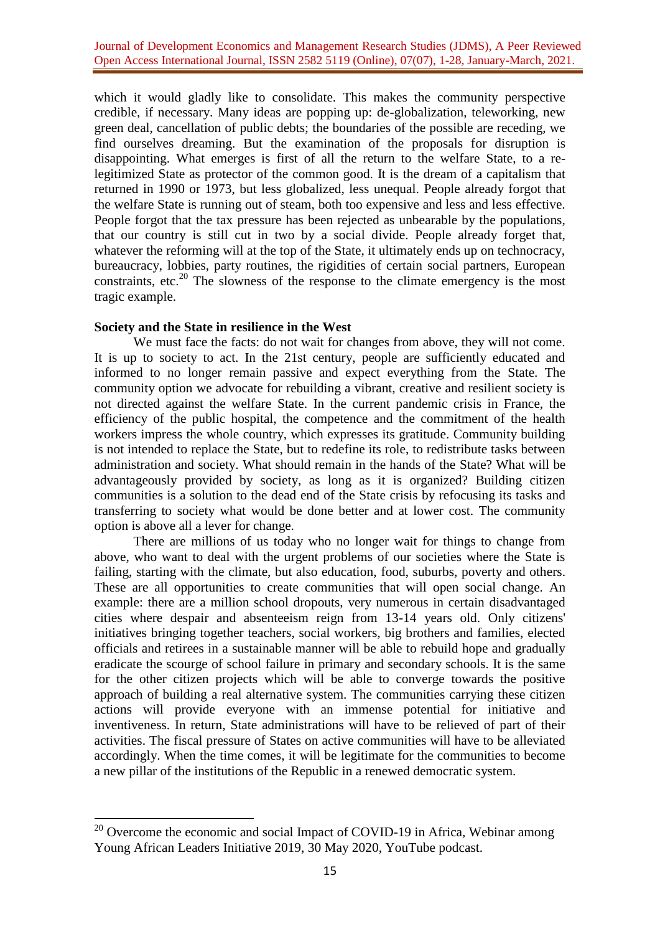which it would gladly like to consolidate. This makes the community perspective credible, if necessary. Many ideas are popping up: de-globalization, teleworking, new green deal, cancellation of public debts; the boundaries of the possible are receding, we find ourselves dreaming. But the examination of the proposals for disruption is disappointing. What emerges is first of all the return to the welfare State, to a relegitimized State as protector of the common good. It is the dream of a capitalism that returned in 1990 or 1973, but less globalized, less unequal. People already forgot that the welfare State is running out of steam, both too expensive and less and less effective. People forgot that the tax pressure has been rejected as unbearable by the populations, that our country is still cut in two by a social divide. People already forget that, whatever the reforming will at the top of the State, it ultimately ends up on technocracy, bureaucracy, lobbies, party routines, the rigidities of certain social partners, European constraints, etc.<sup>20</sup> The slowness of the response to the climate emergency is the most tragic example.

# **Society and the State in resilience in the West**

**.** 

We must face the facts: do not wait for changes from above, they will not come. It is up to society to act. In the 21st century, people are sufficiently educated and informed to no longer remain passive and expect everything from the State. The community option we advocate for rebuilding a vibrant, creative and resilient society is not directed against the welfare State. In the current pandemic crisis in France, the efficiency of the public hospital, the competence and the commitment of the health workers impress the whole country, which expresses its gratitude. Community building is not intended to replace the State, but to redefine its role, to redistribute tasks between administration and society. What should remain in the hands of the State? What will be advantageously provided by society, as long as it is organized? Building citizen communities is a solution to the dead end of the State crisis by refocusing its tasks and transferring to society what would be done better and at lower cost. The community option is above all a lever for change.

There are millions of us today who no longer wait for things to change from above, who want to deal with the urgent problems of our societies where the State is failing, starting with the climate, but also education, food, suburbs, poverty and others. These are all opportunities to create communities that will open social change. An example: there are a million school dropouts, very numerous in certain disadvantaged cities where despair and absenteeism reign from 13-14 years old. Only citizens' initiatives bringing together teachers, social workers, big brothers and families, elected officials and retirees in a sustainable manner will be able to rebuild hope and gradually eradicate the scourge of school failure in primary and secondary schools. It is the same for the other citizen projects which will be able to converge towards the positive approach of building a real alternative system. The communities carrying these citizen actions will provide everyone with an immense potential for initiative and inventiveness. In return, State administrations will have to be relieved of part of their activities. The fiscal pressure of States on active communities will have to be alleviated accordingly. When the time comes, it will be legitimate for the communities to become a new pillar of the institutions of the Republic in a renewed democratic system.

 $20$  Overcome the economic and social Impact of COVID-19 in Africa, Webinar among Young African Leaders Initiative 2019, 30 May 2020, YouTube podcast.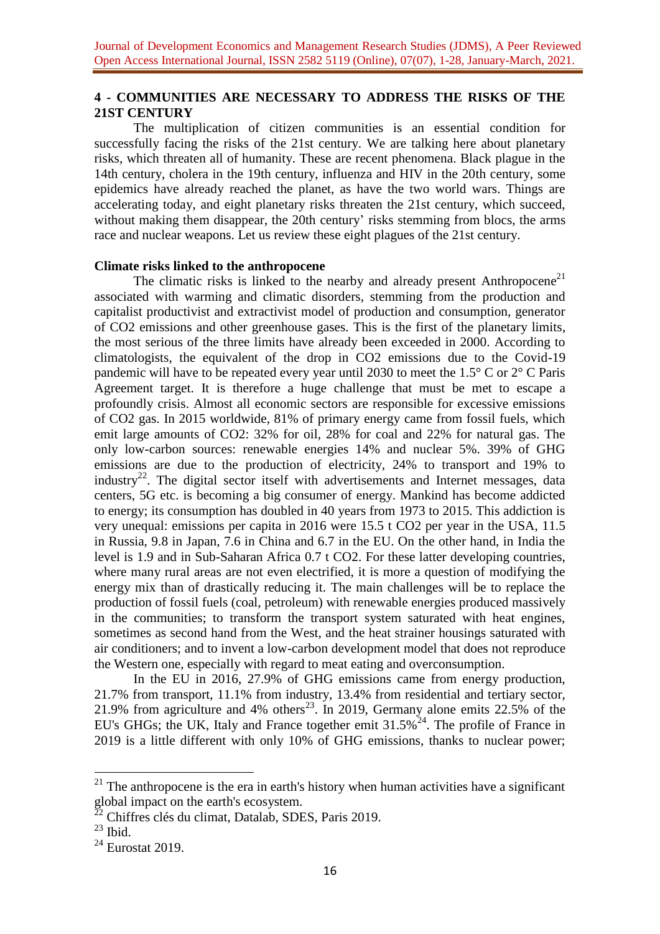# **4 - COMMUNITIES ARE NECESSARY TO ADDRESS THE RISKS OF THE 21ST CENTURY**

The multiplication of citizen communities is an essential condition for successfully facing the risks of the 21st century. We are talking here about planetary risks, which threaten all of humanity. These are recent phenomena. Black plague in the 14th century, cholera in the 19th century, influenza and HIV in the 20th century, some epidemics have already reached the planet, as have the two world wars. Things are accelerating today, and eight planetary risks threaten the 21st century, which succeed, without making them disappear, the 20th century' risks stemming from blocs, the arms race and nuclear weapons. Let us review these eight plagues of the 21st century.

### **Climate risks linked to the anthropocene**

The climatic risks is linked to the nearby and already present Anthropocene<sup>21</sup> associated with warming and climatic disorders, stemming from the production and capitalist productivist and extractivist model of production and consumption, generator of CO2 emissions and other greenhouse gases. This is the first of the planetary limits, the most serious of the three limits have already been exceeded in 2000. According to climatologists, the equivalent of the drop in CO2 emissions due to the Covid-19 pandemic will have to be repeated every year until 2030 to meet the 1.5° C or 2° C Paris Agreement target. It is therefore a huge challenge that must be met to escape a profoundly crisis. Almost all economic sectors are responsible for excessive emissions of CO2 gas. In 2015 worldwide, 81% of primary energy came from fossil fuels, which emit large amounts of CO2: 32% for oil, 28% for coal and 22% for natural gas. The only low-carbon sources: renewable energies 14% and nuclear 5%. 39% of GHG emissions are due to the production of electricity, 24% to transport and 19% to industry<sup>22</sup>. The digital sector itself with advertisements and Internet messages, data centers, 5G etc. is becoming a big consumer of energy. Mankind has become addicted to energy; its consumption has doubled in 40 years from 1973 to 2015. This addiction is very unequal: emissions per capita in 2016 were 15.5 t CO2 per year in the USA, 11.5 in Russia, 9.8 in Japan, 7.6 in China and 6.7 in the EU. On the other hand, in India the level is 1.9 and in Sub-Saharan Africa 0.7 t CO2. For these latter developing countries, where many rural areas are not even electrified, it is more a question of modifying the energy mix than of drastically reducing it. The main challenges will be to replace the production of fossil fuels (coal, petroleum) with renewable energies produced massively in the communities; to transform the transport system saturated with heat engines, sometimes as second hand from the West, and the heat strainer housings saturated with air conditioners; and to invent a low-carbon development model that does not reproduce the Western one, especially with regard to meat eating and overconsumption.

In the EU in 2016, 27.9% of GHG emissions came from energy production, 21.7% from transport, 11.1% from industry, 13.4% from residential and tertiary sector, 21.9% from agriculture and 4% others<sup>23</sup>. In 2019, Germany alone emits 22.5% of the EU's GHGs; the UK, Italy and France together emit  $31.5\%^{24}$ . The profile of France in 2019 is a little different with only 10% of GHG emissions, thanks to nuclear power;

 $21$  The anthropocene is the era in earth's history when human activities have a significant global impact on the earth's ecosystem.

<sup>22</sup> Chiffres clés du climat, Datalab, SDES, Paris 2019.

 $23$  Ibid.

 $24$  Eurostat 2019.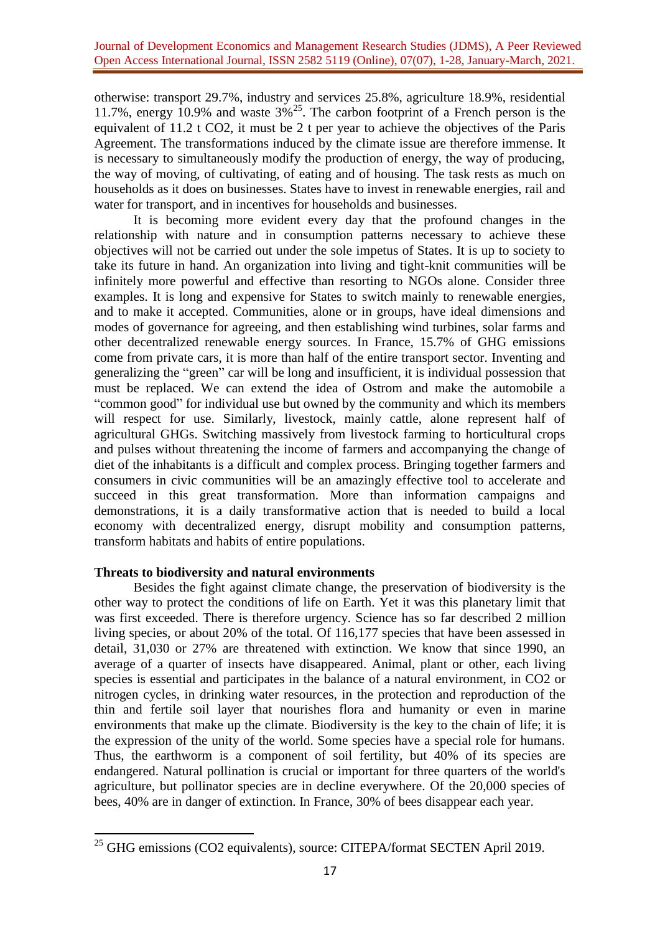otherwise: transport 29.7%, industry and services 25.8%, agriculture 18.9%, residential 11.7%, energy 10.9% and waste  $3\%^{25}$ . The carbon footprint of a French person is the equivalent of 11.2 t CO2, it must be 2 t per year to achieve the objectives of the Paris Agreement. The transformations induced by the climate issue are therefore immense. It is necessary to simultaneously modify the production of energy, the way of producing, the way of moving, of cultivating, of eating and of housing. The task rests as much on households as it does on businesses. States have to invest in renewable energies, rail and water for transport, and in incentives for households and businesses.

It is becoming more evident every day that the profound changes in the relationship with nature and in consumption patterns necessary to achieve these objectives will not be carried out under the sole impetus of States. It is up to society to take its future in hand. An organization into living and tight-knit communities will be infinitely more powerful and effective than resorting to NGOs alone. Consider three examples. It is long and expensive for States to switch mainly to renewable energies, and to make it accepted. Communities, alone or in groups, have ideal dimensions and modes of governance for agreeing, and then establishing wind turbines, solar farms and other decentralized renewable energy sources. In France, 15.7% of GHG emissions come from private cars, it is more than half of the entire transport sector. Inventing and generalizing the "green" car will be long and insufficient, it is individual possession that must be replaced. We can extend the idea of Ostrom and make the automobile a "common good" for individual use but owned by the community and which its members will respect for use. Similarly, livestock, mainly cattle, alone represent half of agricultural GHGs. Switching massively from livestock farming to horticultural crops and pulses without threatening the income of farmers and accompanying the change of diet of the inhabitants is a difficult and complex process. Bringing together farmers and consumers in civic communities will be an amazingly effective tool to accelerate and succeed in this great transformation. More than information campaigns and demonstrations, it is a daily transformative action that is needed to build a local economy with decentralized energy, disrupt mobility and consumption patterns, transform habitats and habits of entire populations.

# **Threats to biodiversity and natural environments**

**.** 

Besides the fight against climate change, the preservation of biodiversity is the other way to protect the conditions of life on Earth. Yet it was this planetary limit that was first exceeded. There is therefore urgency. Science has so far described 2 million living species, or about 20% of the total. Of 116,177 species that have been assessed in detail, 31,030 or 27% are threatened with extinction. We know that since 1990, an average of a quarter of insects have disappeared. Animal, plant or other, each living species is essential and participates in the balance of a natural environment, in CO2 or nitrogen cycles, in drinking water resources, in the protection and reproduction of the thin and fertile soil layer that nourishes flora and humanity or even in marine environments that make up the climate. Biodiversity is the key to the chain of life; it is the expression of the unity of the world. Some species have a special role for humans. Thus, the earthworm is a component of soil fertility, but 40% of its species are endangered. Natural pollination is crucial or important for three quarters of the world's agriculture, but pollinator species are in decline everywhere. Of the 20,000 species of bees, 40% are in danger of extinction. In France, 30% of bees disappear each year.

 $^{25}$  GHG emissions (CO2 equivalents), source: CITEPA/format SECTEN April 2019.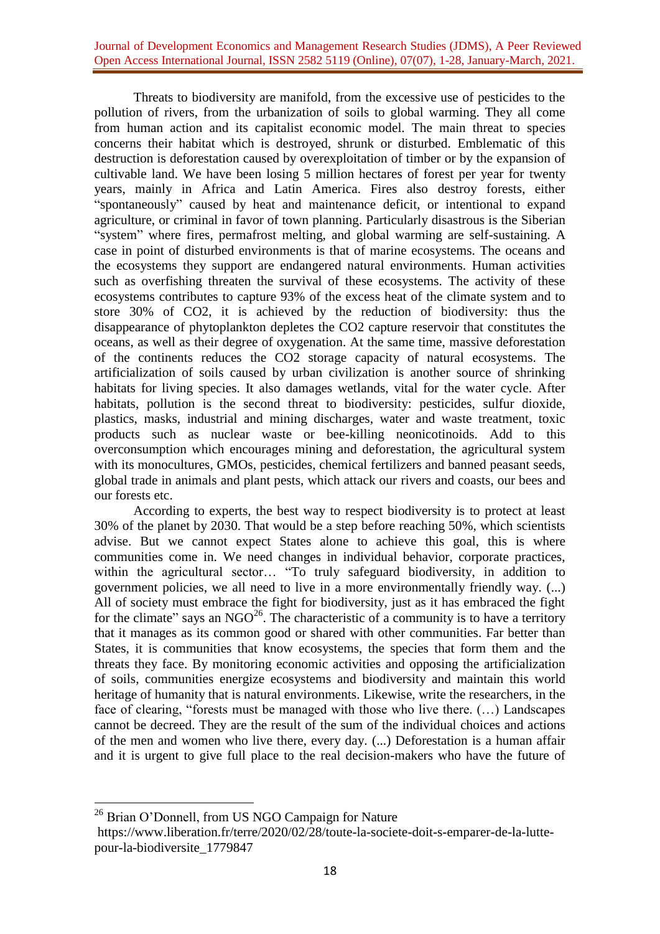Threats to biodiversity are manifold, from the excessive use of pesticides to the pollution of rivers, from the urbanization of soils to global warming. They all come from human action and its capitalist economic model. The main threat to species concerns their habitat which is destroyed, shrunk or disturbed. Emblematic of this destruction is deforestation caused by overexploitation of timber or by the expansion of cultivable land. We have been losing 5 million hectares of forest per year for twenty years, mainly in Africa and Latin America. Fires also destroy forests, either "spontaneously" caused by heat and maintenance deficit, or intentional to expand agriculture, or criminal in favor of town planning. Particularly disastrous is the Siberian "system" where fires, permafrost melting, and global warming are self-sustaining. A case in point of disturbed environments is that of marine ecosystems. The oceans and the ecosystems they support are endangered natural environments. Human activities such as overfishing threaten the survival of these ecosystems. The activity of these ecosystems contributes to capture 93% of the excess heat of the climate system and to store 30% of CO2, it is achieved by the reduction of biodiversity: thus the disappearance of phytoplankton depletes the CO2 capture reservoir that constitutes the oceans, as well as their degree of oxygenation. At the same time, massive deforestation of the continents reduces the CO2 storage capacity of natural ecosystems. The artificialization of soils caused by urban civilization is another source of shrinking habitats for living species. It also damages wetlands, vital for the water cycle. After habitats, pollution is the second threat to biodiversity: pesticides, sulfur dioxide, plastics, masks, industrial and mining discharges, water and waste treatment, toxic products such as nuclear waste or bee-killing neonicotinoids. Add to this overconsumption which encourages mining and deforestation, the agricultural system with its monocultures, GMOs, pesticides, chemical fertilizers and banned peasant seeds, global trade in animals and plant pests, which attack our rivers and coasts, our bees and our forests etc.

According to experts, the best way to respect biodiversity is to protect at least 30% of the planet by 2030. That would be a step before reaching 50%, which scientists advise. But we cannot expect States alone to achieve this goal, this is where communities come in. We need changes in individual behavior, corporate practices, within the agricultural sector… "To truly safeguard biodiversity, in addition to government policies, we all need to live in a more environmentally friendly way. (...) All of society must embrace the fight for biodiversity, just as it has embraced the fight for the climate" says an NGO<sup>26</sup>. The characteristic of a community is to have a territory that it manages as its common good or shared with other communities. Far better than States, it is communities that know ecosystems, the species that form them and the threats they face. By monitoring economic activities and opposing the artificialization of soils, communities energize ecosystems and biodiversity and maintain this world heritage of humanity that is natural environments. Likewise, write the researchers, in the face of clearing, "forests must be managed with those who live there. (…) Landscapes cannot be decreed. They are the result of the sum of the individual choices and actions of the men and women who live there, every day. (...) Deforestation is a human affair and it is urgent to give full place to the real decision-makers who have the future of

<sup>&</sup>lt;sup>26</sup> Brian O'Donnell, from US NGO Campaign for Nature

[https://www.liberation.fr/terre/2020/02/28/toute-la-societe-doit-s-emparer-de-la-lutte](https://www.liberation.fr/terre/2020/02/28/toute-la-societe-doit-s-emparer-de-la-lutte-pour-la-biodiversite_1779847)[pour-la-biodiversite\\_1779847](https://www.liberation.fr/terre/2020/02/28/toute-la-societe-doit-s-emparer-de-la-lutte-pour-la-biodiversite_1779847)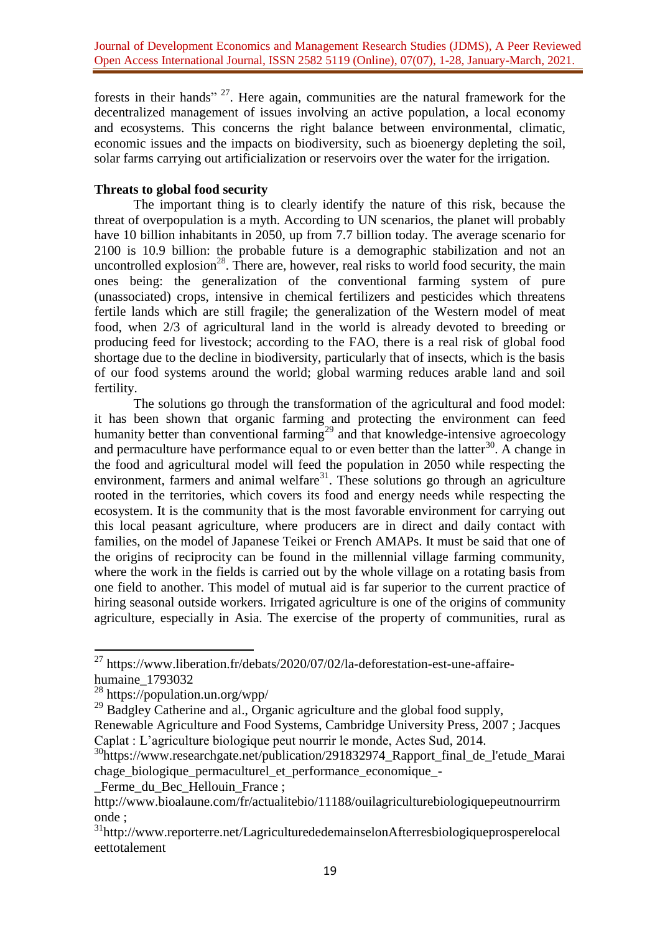forests in their hands"  $27$ . Here again, communities are the natural framework for the decentralized management of issues involving an active population, a local economy and ecosystems. This concerns the right balance between environmental, climatic, economic issues and the impacts on biodiversity, such as bioenergy depleting the soil, solar farms carrying out artificialization or reservoirs over the water for the irrigation.

# **Threats to global food security**

The important thing is to clearly identify the nature of this risk, because the threat of overpopulation is a myth. According to UN scenarios, the planet will probably have 10 billion inhabitants in 2050, up from 7.7 billion today. The average scenario for 2100 is 10.9 billion: the probable future is a demographic stabilization and not an uncontrolled explosion<sup>28</sup>. There are, however, real risks to world food security, the main ones being: the generalization of the conventional farming system of pure (unassociated) crops, intensive in chemical fertilizers and pesticides which threatens fertile lands which are still fragile; the generalization of the Western model of meat food, when 2/3 of agricultural land in the world is already devoted to breeding or producing feed for livestock; according to the FAO, there is a real risk of global food shortage due to the decline in biodiversity, particularly that of insects, which is the basis of our food systems around the world; global warming reduces arable land and soil fertility.

The solutions go through the transformation of the agricultural and food model: it has been shown that organic farming and protecting the environment can feed humanity better than conventional farming<sup>29</sup> and that knowledge-intensive agroecology and permaculture have performance equal to or even better than the latter<sup>30</sup>. A change in the food and agricultural model will feed the population in 2050 while respecting the environment, farmers and animal welfare<sup>31</sup>. These solutions go through an agriculture rooted in the territories, which covers its food and energy needs while respecting the ecosystem. It is the community that is the most favorable environment for carrying out this local peasant agriculture, where producers are in direct and daily contact with families, on the model of Japanese Teikei or French AMAPs. It must be said that one of the origins of reciprocity can be found in the millennial village farming community, where the work in the fields is carried out by the whole village on a rotating basis from one field to another. This model of mutual aid is far superior to the current practice of hiring seasonal outside workers. Irrigated agriculture is one of the origins of community agriculture, especially in Asia. The exercise of the property of communities, rural as

<sup>&</sup>lt;sup>27</sup> [https://www.liberation.fr/debats/2020/07/02/la-deforestation-est-une-affaire](https://www.liberation.fr/debats/2020/07/02/la-deforestation-est-une-affaire-humaine_1793032)[humaine\\_1793032](https://www.liberation.fr/debats/2020/07/02/la-deforestation-est-une-affaire-humaine_1793032)

<sup>&</sup>lt;sup>28</sup> <https://population.un.org/wpp/>

 $^{29}$  Badgley Catherine and al., Organic agriculture and the global food supply,

Renewable Agriculture and Food Systems, Cambridge University Press, 2007 ; Jacques Caplat : L'agriculture biologique peut nourrir le monde, Actes Sud, 2014.

<sup>30</sup>[https://www.researchgate.net/publication/291832974\\_Rapport\\_final\\_de\\_l'etude\\_Marai](https://www.researchgate.net/publication/291832974_Rapport_final_de_l) chage biologique permaculturel et performance economique -

Ferme du Bec Hellouin France ;

[http://www.bioalaune.com/fr/actualitebio/11188/ouilagriculturebiologiquepeutnourrirm](http://www.bioalaune.com/fr/actualitebio/11188/ouilagriculturebiologiquepeutnourrirmonde) [onde](http://www.bioalaune.com/fr/actualitebio/11188/ouilagriculturebiologiquepeutnourrirmonde) ;

<sup>&</sup>lt;sup>31</sup>[http://www.reporterre.net/LagriculturededemainselonAfterresbiologiqueprosperelocal](http://www.reporterre.net/LagriculturededemainselonAfterresbiologiqueprosperelocaleettotalement) [eettotalement](http://www.reporterre.net/LagriculturededemainselonAfterresbiologiqueprosperelocaleettotalement)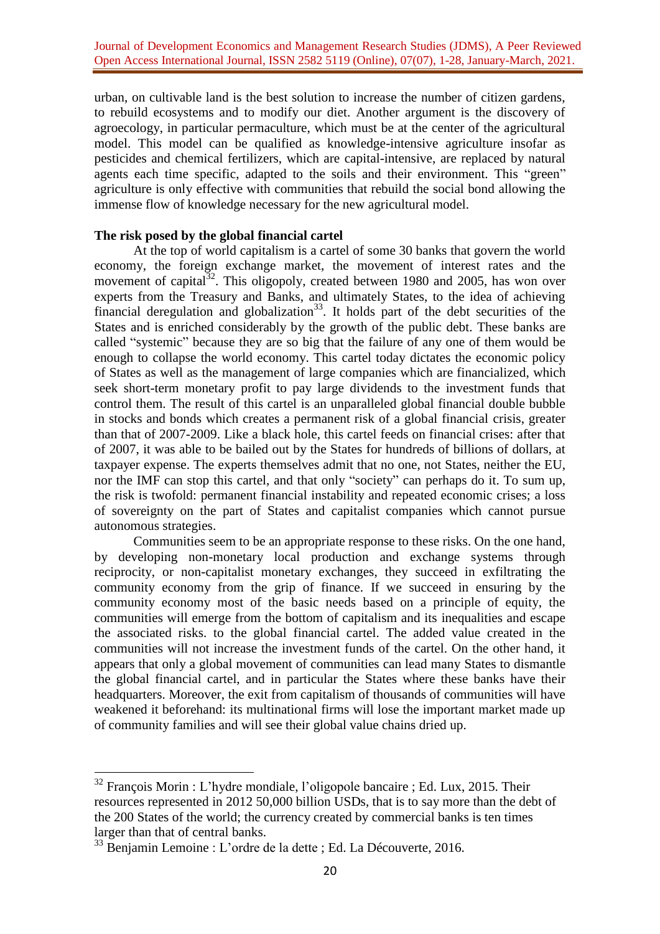urban, on cultivable land is the best solution to increase the number of citizen gardens, to rebuild ecosystems and to modify our diet. Another argument is the discovery of agroecology, in particular permaculture, which must be at the center of the agricultural model. This model can be qualified as knowledge-intensive agriculture insofar as pesticides and chemical fertilizers, which are capital-intensive, are replaced by natural agents each time specific, adapted to the soils and their environment. This "green" agriculture is only effective with communities that rebuild the social bond allowing the immense flow of knowledge necessary for the new agricultural model.

### **The risk posed by the global financial cartel**

At the top of world capitalism is a cartel of some 30 banks that govern the world economy, the foreign exchange market, the movement of interest rates and the movement of capital<sup>32</sup>. This oligopoly, created between 1980 and 2005, has won over experts from the Treasury and Banks, and ultimately States, to the idea of achieving financial deregulation and globalization<sup>33</sup>. It holds part of the debt securities of the States and is enriched considerably by the growth of the public debt. These banks are called "systemic" because they are so big that the failure of any one of them would be enough to collapse the world economy. This cartel today dictates the economic policy of States as well as the management of large companies which are financialized, which seek short-term monetary profit to pay large dividends to the investment funds that control them. The result of this cartel is an unparalleled global financial double bubble in stocks and bonds which creates a permanent risk of a global financial crisis, greater than that of 2007-2009. Like a black hole, this cartel feeds on financial crises: after that of 2007, it was able to be bailed out by the States for hundreds of billions of dollars, at taxpayer expense. The experts themselves admit that no one, not States, neither the EU, nor the IMF can stop this cartel, and that only "society" can perhaps do it. To sum up, the risk is twofold: permanent financial instability and repeated economic crises; a loss of sovereignty on the part of States and capitalist companies which cannot pursue autonomous strategies.

Communities seem to be an appropriate response to these risks. On the one hand, by developing non-monetary local production and exchange systems through reciprocity, or non-capitalist monetary exchanges, they succeed in exfiltrating the community economy from the grip of finance. If we succeed in ensuring by the community economy most of the basic needs based on a principle of equity, the communities will emerge from the bottom of capitalism and its inequalities and escape the associated risks. to the global financial cartel. The added value created in the communities will not increase the investment funds of the cartel. On the other hand, it appears that only a global movement of communities can lead many States to dismantle the global financial cartel, and in particular the States where these banks have their headquarters. Moreover, the exit from capitalism of thousands of communities will have weakened it beforehand: its multinational firms will lose the important market made up of community families and will see their global value chains dried up.

 $32$  François Morin : L'hydre mondiale, l'oligopole bancaire ; Ed. Lux, 2015. Their resources represented in 2012 50,000 billion USDs, that is to say more than the debt of the 200 States of the world; the currency created by commercial banks is ten times larger than that of central banks.

<sup>33</sup> Benjamin Lemoine : L'ordre de la dette ; Ed. La Découverte, 2016.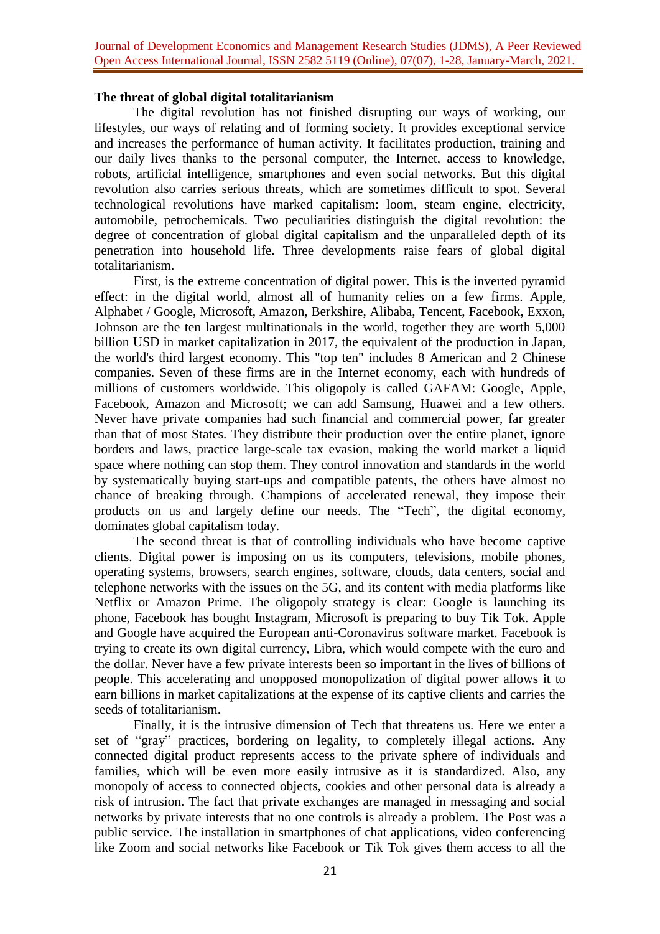### **The threat of global digital totalitarianism**

The digital revolution has not finished disrupting our ways of working, our lifestyles, our ways of relating and of forming society. It provides exceptional service and increases the performance of human activity. It facilitates production, training and our daily lives thanks to the personal computer, the Internet, access to knowledge, robots, artificial intelligence, smartphones and even social networks. But this digital revolution also carries serious threats, which are sometimes difficult to spot. Several technological revolutions have marked capitalism: loom, steam engine, electricity, automobile, petrochemicals. Two peculiarities distinguish the digital revolution: the degree of concentration of global digital capitalism and the unparalleled depth of its penetration into household life. Three developments raise fears of global digital totalitarianism.

First, is the extreme concentration of digital power. This is the inverted pyramid effect: in the digital world, almost all of humanity relies on a few firms. Apple, Alphabet / Google, Microsoft, Amazon, Berkshire, Alibaba, Tencent, Facebook, Exxon, Johnson are the ten largest multinationals in the world, together they are worth 5,000 billion USD in market capitalization in 2017, the equivalent of the production in Japan, the world's third largest economy. This "top ten" includes 8 American and 2 Chinese companies. Seven of these firms are in the Internet economy, each with hundreds of millions of customers worldwide. This oligopoly is called GAFAM: Google, Apple, Facebook, Amazon and Microsoft; we can add Samsung, Huawei and a few others. Never have private companies had such financial and commercial power, far greater than that of most States. They distribute their production over the entire planet, ignore borders and laws, practice large-scale tax evasion, making the world market a liquid space where nothing can stop them. They control innovation and standards in the world by systematically buying start-ups and compatible patents, the others have almost no chance of breaking through. Champions of accelerated renewal, they impose their products on us and largely define our needs. The "Tech", the digital economy, dominates global capitalism today.

The second threat is that of controlling individuals who have become captive clients. Digital power is imposing on us its computers, televisions, mobile phones, operating systems, browsers, search engines, software, clouds, data centers, social and telephone networks with the issues on the 5G, and its content with media platforms like Netflix or Amazon Prime. The oligopoly strategy is clear: Google is launching its phone, Facebook has bought Instagram, Microsoft is preparing to buy Tik Tok. Apple and Google have acquired the European anti-Coronavirus software market. Facebook is trying to create its own digital currency, Libra, which would compete with the euro and the dollar. Never have a few private interests been so important in the lives of billions of people. This accelerating and unopposed monopolization of digital power allows it to earn billions in market capitalizations at the expense of its captive clients and carries the seeds of totalitarianism.

Finally, it is the intrusive dimension of Tech that threatens us. Here we enter a set of "gray" practices, bordering on legality, to completely illegal actions. Any connected digital product represents access to the private sphere of individuals and families, which will be even more easily intrusive as it is standardized. Also, any monopoly of access to connected objects, cookies and other personal data is already a risk of intrusion. The fact that private exchanges are managed in messaging and social networks by private interests that no one controls is already a problem. The Post was a public service. The installation in smartphones of chat applications, video conferencing like Zoom and social networks like Facebook or Tik Tok gives them access to all the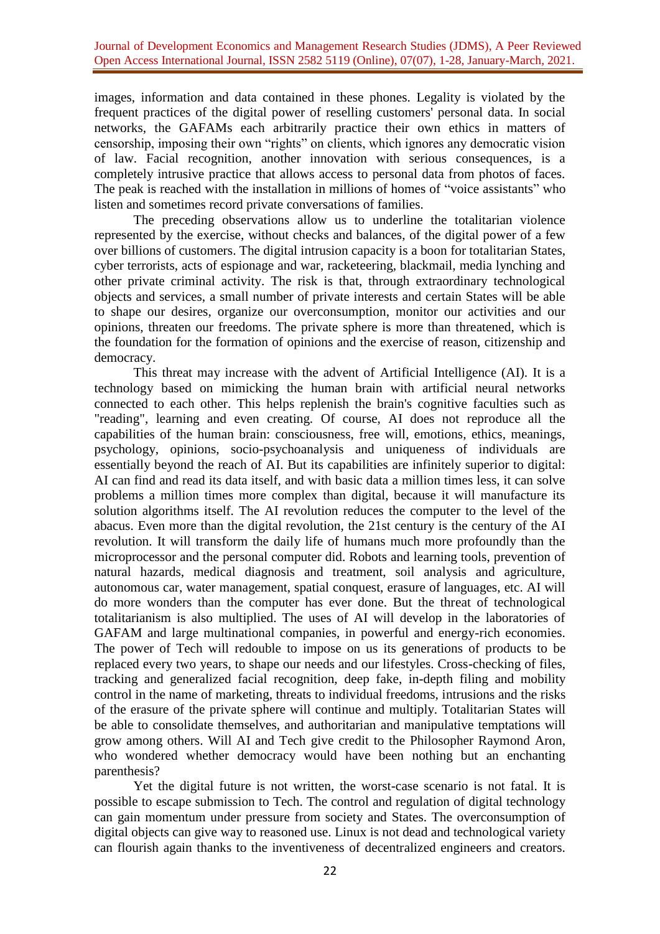images, information and data contained in these phones. Legality is violated by the frequent practices of the digital power of reselling customers' personal data. In social networks, the GAFAMs each arbitrarily practice their own ethics in matters of censorship, imposing their own "rights" on clients, which ignores any democratic vision of law. Facial recognition, another innovation with serious consequences, is a completely intrusive practice that allows access to personal data from photos of faces. The peak is reached with the installation in millions of homes of "voice assistants" who listen and sometimes record private conversations of families.

The preceding observations allow us to underline the totalitarian violence represented by the exercise, without checks and balances, of the digital power of a few over billions of customers. The digital intrusion capacity is a boon for totalitarian States, cyber terrorists, acts of espionage and war, racketeering, blackmail, media lynching and other private criminal activity. The risk is that, through extraordinary technological objects and services, a small number of private interests and certain States will be able to shape our desires, organize our overconsumption, monitor our activities and our opinions, threaten our freedoms. The private sphere is more than threatened, which is the foundation for the formation of opinions and the exercise of reason, citizenship and democracy.

This threat may increase with the advent of Artificial Intelligence (AI). It is a technology based on mimicking the human brain with artificial neural networks connected to each other. This helps replenish the brain's cognitive faculties such as "reading", learning and even creating. Of course, AI does not reproduce all the capabilities of the human brain: consciousness, free will, emotions, ethics, meanings, psychology, opinions, socio-psychoanalysis and uniqueness of individuals are essentially beyond the reach of AI. But its capabilities are infinitely superior to digital: AI can find and read its data itself, and with basic data a million times less, it can solve problems a million times more complex than digital, because it will manufacture its solution algorithms itself. The AI revolution reduces the computer to the level of the abacus. Even more than the digital revolution, the 21st century is the century of the AI revolution. It will transform the daily life of humans much more profoundly than the microprocessor and the personal computer did. Robots and learning tools, prevention of natural hazards, medical diagnosis and treatment, soil analysis and agriculture, autonomous car, water management, spatial conquest, erasure of languages, etc. AI will do more wonders than the computer has ever done. But the threat of technological totalitarianism is also multiplied. The uses of AI will develop in the laboratories of GAFAM and large multinational companies, in powerful and energy-rich economies. The power of Tech will redouble to impose on us its generations of products to be replaced every two years, to shape our needs and our lifestyles. Cross-checking of files, tracking and generalized facial recognition, deep fake, in-depth filing and mobility control in the name of marketing, threats to individual freedoms, intrusions and the risks of the erasure of the private sphere will continue and multiply. Totalitarian States will be able to consolidate themselves, and authoritarian and manipulative temptations will grow among others. Will AI and Tech give credit to the Philosopher Raymond Aron, who wondered whether democracy would have been nothing but an enchanting parenthesis?

Yet the digital future is not written, the worst-case scenario is not fatal. It is possible to escape submission to Tech. The control and regulation of digital technology can gain momentum under pressure from society and States. The overconsumption of digital objects can give way to reasoned use. Linux is not dead and technological variety can flourish again thanks to the inventiveness of decentralized engineers and creators.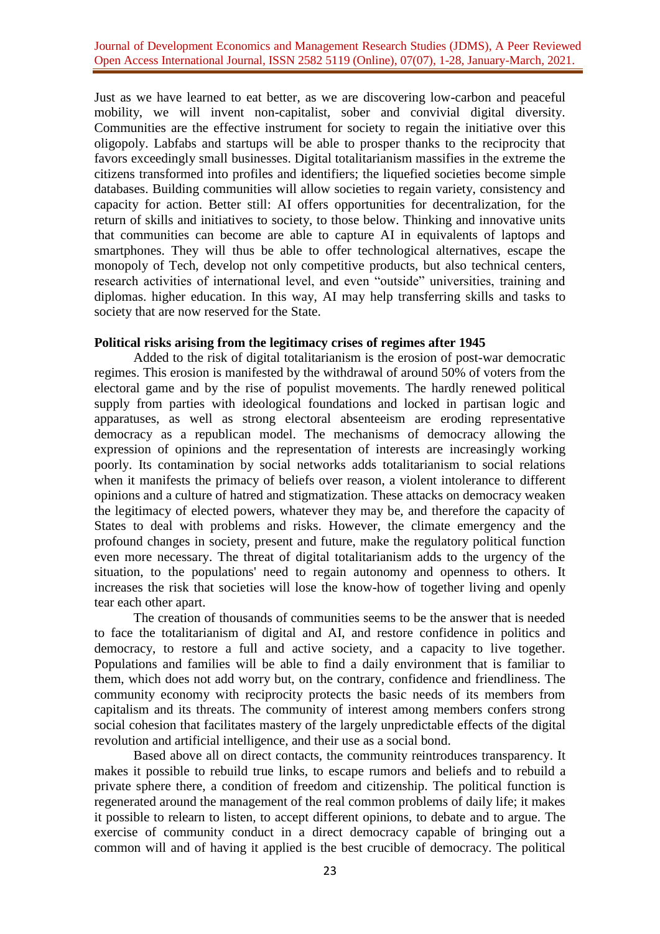## Journal of Development Economics and Management Research Studies (JDMS), A Peer Reviewed Open Access International Journal, ISSN 2582 5119 (Online), 07(07), 1-28, January-March, 2021.

Just as we have learned to eat better, as we are discovering low-carbon and peaceful mobility, we will invent non-capitalist, sober and convivial digital diversity. Communities are the effective instrument for society to regain the initiative over this oligopoly. Labfabs and startups will be able to prosper thanks to the reciprocity that favors exceedingly small businesses. Digital totalitarianism massifies in the extreme the citizens transformed into profiles and identifiers; the liquefied societies become simple databases. Building communities will allow societies to regain variety, consistency and capacity for action. Better still: AI offers opportunities for decentralization, for the return of skills and initiatives to society, to those below. Thinking and innovative units that communities can become are able to capture AI in equivalents of laptops and smartphones. They will thus be able to offer technological alternatives, escape the monopoly of Tech, develop not only competitive products, but also technical centers, research activities of international level, and even "outside" universities, training and diplomas. higher education. In this way, AI may help transferring skills and tasks to society that are now reserved for the State.

#### **Political risks arising from the legitimacy crises of regimes after 1945**

Added to the risk of digital totalitarianism is the erosion of post-war democratic regimes. This erosion is manifested by the withdrawal of around 50% of voters from the electoral game and by the rise of populist movements. The hardly renewed political supply from parties with ideological foundations and locked in partisan logic and apparatuses, as well as strong electoral absenteeism are eroding representative democracy as a republican model. The mechanisms of democracy allowing the expression of opinions and the representation of interests are increasingly working poorly. Its contamination by social networks adds totalitarianism to social relations when it manifests the primacy of beliefs over reason, a violent intolerance to different opinions and a culture of hatred and stigmatization. These attacks on democracy weaken the legitimacy of elected powers, whatever they may be, and therefore the capacity of States to deal with problems and risks. However, the climate emergency and the profound changes in society, present and future, make the regulatory political function even more necessary. The threat of digital totalitarianism adds to the urgency of the situation, to the populations' need to regain autonomy and openness to others. It increases the risk that societies will lose the know-how of together living and openly tear each other apart.

The creation of thousands of communities seems to be the answer that is needed to face the totalitarianism of digital and AI, and restore confidence in politics and democracy, to restore a full and active society, and a capacity to live together. Populations and families will be able to find a daily environment that is familiar to them, which does not add worry but, on the contrary, confidence and friendliness. The community economy with reciprocity protects the basic needs of its members from capitalism and its threats. The community of interest among members confers strong social cohesion that facilitates mastery of the largely unpredictable effects of the digital revolution and artificial intelligence, and their use as a social bond.

Based above all on direct contacts, the community reintroduces transparency. It makes it possible to rebuild true links, to escape rumors and beliefs and to rebuild a private sphere there, a condition of freedom and citizenship. The political function is regenerated around the management of the real common problems of daily life; it makes it possible to relearn to listen, to accept different opinions, to debate and to argue. The exercise of community conduct in a direct democracy capable of bringing out a common will and of having it applied is the best crucible of democracy. The political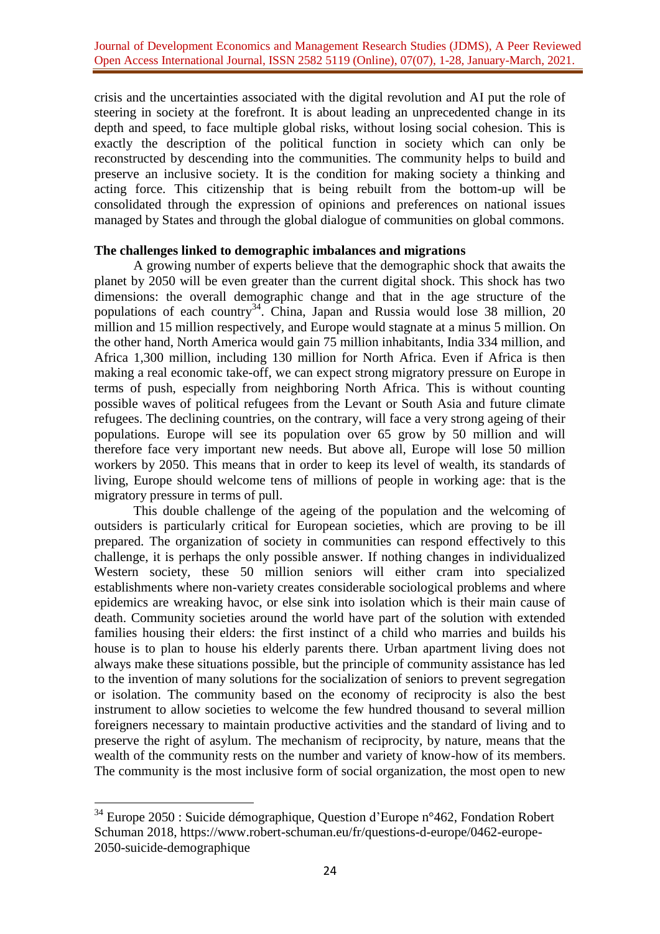crisis and the uncertainties associated with the digital revolution and AI put the role of steering in society at the forefront. It is about leading an unprecedented change in its depth and speed, to face multiple global risks, without losing social cohesion. This is exactly the description of the political function in society which can only be reconstructed by descending into the communities. The community helps to build and preserve an inclusive society. It is the condition for making society a thinking and acting force. This citizenship that is being rebuilt from the bottom-up will be consolidated through the expression of opinions and preferences on national issues managed by States and through the global dialogue of communities on global commons.

# **The challenges linked to demographic imbalances and migrations**

A growing number of experts believe that the demographic shock that awaits the planet by 2050 will be even greater than the current digital shock. This shock has two dimensions: the overall demographic change and that in the age structure of the populations of each country<sup>34</sup>. China, Japan and Russia would lose 38 million, 20 million and 15 million respectively, and Europe would stagnate at a minus 5 million. On the other hand, North America would gain 75 million inhabitants, India 334 million, and Africa 1,300 million, including 130 million for North Africa. Even if Africa is then making a real economic take-off, we can expect strong migratory pressure on Europe in terms of push, especially from neighboring North Africa. This is without counting possible waves of political refugees from the Levant or South Asia and future climate refugees. The declining countries, on the contrary, will face a very strong ageing of their populations. Europe will see its population over 65 grow by 50 million and will therefore face very important new needs. But above all, Europe will lose 50 million workers by 2050. This means that in order to keep its level of wealth, its standards of living, Europe should welcome tens of millions of people in working age: that is the migratory pressure in terms of pull.

This double challenge of the ageing of the population and the welcoming of outsiders is particularly critical for European societies, which are proving to be ill prepared. The organization of society in communities can respond effectively to this challenge, it is perhaps the only possible answer. If nothing changes in individualized Western society, these 50 million seniors will either cram into specialized establishments where non-variety creates considerable sociological problems and where epidemics are wreaking havoc, or else sink into isolation which is their main cause of death. Community societies around the world have part of the solution with extended families housing their elders: the first instinct of a child who marries and builds his house is to plan to house his elderly parents there. Urban apartment living does not always make these situations possible, but the principle of community assistance has led to the invention of many solutions for the socialization of seniors to prevent segregation or isolation. The community based on the economy of reciprocity is also the best instrument to allow societies to welcome the few hundred thousand to several million foreigners necessary to maintain productive activities and the standard of living and to preserve the right of asylum. The mechanism of reciprocity, by nature, means that the wealth of the community rests on the number and variety of know-how of its members. The community is the most inclusive form of social organization, the most open to new

 $34$  Europe 2050 : Suicide démographique, Question d'Europe n°462, Fondation Robert Schuman 2018, [https://www.robert-schuman.eu/fr/questions-d-europe/0462-europe-](https://www.robert-schuman.eu/fr/questions-d-europe/0462-europe-2050-suicide-demographique)[2050-suicide-demographique](https://www.robert-schuman.eu/fr/questions-d-europe/0462-europe-2050-suicide-demographique)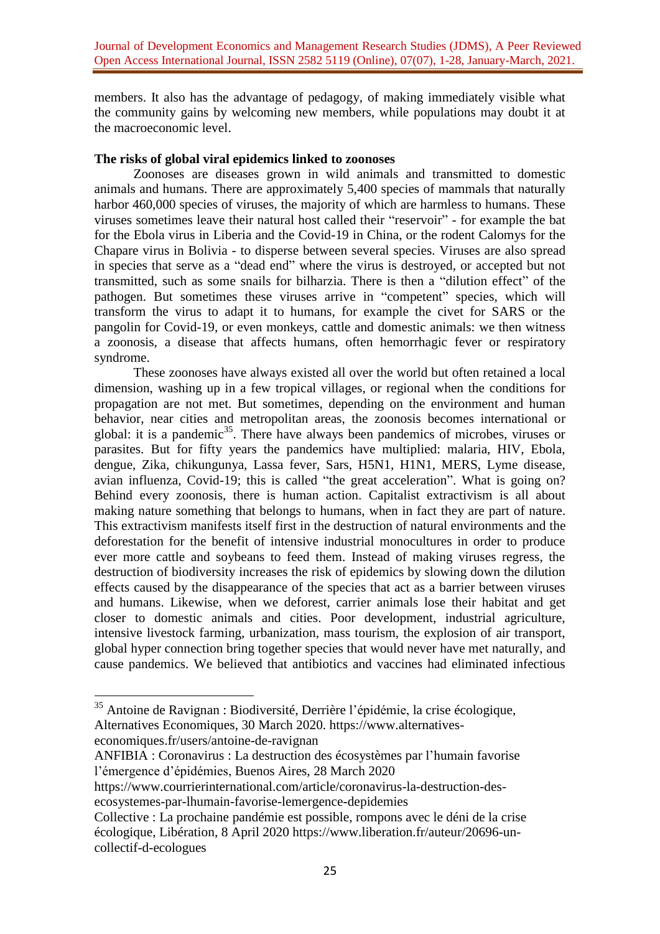members. It also has the advantage of pedagogy, of making immediately visible what the community gains by welcoming new members, while populations may doubt it at the macroeconomic level.

# **The risks of global viral epidemics linked to zoonoses**

Zoonoses are diseases grown in wild animals and transmitted to domestic animals and humans. There are approximately 5,400 species of mammals that naturally harbor 460,000 species of viruses, the majority of which are harmless to humans. These viruses sometimes leave their natural host called their "reservoir" - for example the bat for the Ebola virus in Liberia and the Covid-19 in China, or the rodent Calomys for the Chapare virus in Bolivia - to disperse between several species. Viruses are also spread in species that serve as a "dead end" where the virus is destroyed, or accepted but not transmitted, such as some snails for bilharzia. There is then a "dilution effect" of the pathogen. But sometimes these viruses arrive in "competent" species, which will transform the virus to adapt it to humans, for example the civet for SARS or the pangolin for Covid-19, or even monkeys, cattle and domestic animals: we then witness a zoonosis, a disease that affects humans, often hemorrhagic fever or respiratory syndrome.

These zoonoses have always existed all over the world but often retained a local dimension, washing up in a few tropical villages, or regional when the conditions for propagation are not met. But sometimes, depending on the environment and human behavior, near cities and metropolitan areas, the zoonosis becomes international or global: it is a pandemic<sup>35</sup>. There have always been pandemics of microbes, viruses or parasites. But for fifty years the pandemics have multiplied: malaria, HIV, Ebola, dengue, Zika, chikungunya, Lassa fever, Sars, H5N1, H1N1, MERS, Lyme disease, avian influenza, Covid-19; this is called "the great acceleration". What is going on? Behind every zoonosis, there is human action. Capitalist extractivism is all about making nature something that belongs to humans, when in fact they are part of nature. This extractivism manifests itself first in the destruction of natural environments and the deforestation for the benefit of intensive industrial monocultures in order to produce ever more cattle and soybeans to feed them. Instead of making viruses regress, the destruction of biodiversity increases the risk of epidemics by slowing down the dilution effects caused by the disappearance of the species that act as a barrier between viruses and humans. Likewise, when we deforest, carrier animals lose their habitat and get closer to domestic animals and cities. Poor development, industrial agriculture, intensive livestock farming, urbanization, mass tourism, the explosion of air transport, global hyper connection bring together species that would never have met naturally, and cause pandemics. We believed that antibiotics and vaccines had eliminated infectious

<sup>35</sup> Antoine de Ravignan : Biodiversité, Derrière l'épidémie, la crise écologique, Alternatives Economiques, 30 March 2020. [https://www.alternatives](https://www.alternatives-economiques.fr/users/antoine-de-ravignan)[economiques.fr/users/antoine-de-ravignan](https://www.alternatives-economiques.fr/users/antoine-de-ravignan)

ANFIBIA : Coronavirus : La destruction des écosystèmes par l'humain favorise l'émergence d'épidémies, Buenos Aires, 28 March 2020

[https://www.courrierinternational.com/article/coronavirus-la-destruction-des](https://www.courrierinternational.com/article/coronavirus-la-destruction-des-ecosystemes-par-lhumain-favorise-lemergence-depidemies)[ecosystemes-par-lhumain-favorise-lemergence-depidemies](https://www.courrierinternational.com/article/coronavirus-la-destruction-des-ecosystemes-par-lhumain-favorise-lemergence-depidemies) 

Collective : La prochaine pandémie est possible, rompons avec le déni de la crise écologique, Libération, 8 April 2020 [https://www.liberation.fr/auteur/20696-un](https://www.liberation.fr/auteur/20696-un-collectif-d-ecologues)[collectif-d-ecologues](https://www.liberation.fr/auteur/20696-un-collectif-d-ecologues)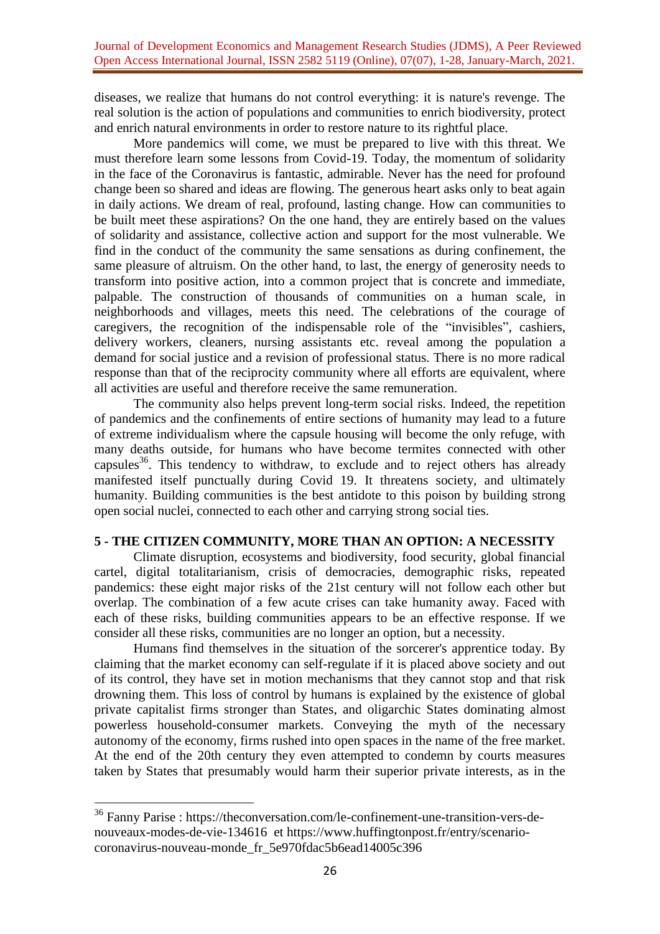diseases, we realize that humans do not control everything: it is nature's revenge. The real solution is the action of populations and communities to enrich biodiversity, protect and enrich natural environments in order to restore nature to its rightful place.

More pandemics will come, we must be prepared to live with this threat. We must therefore learn some lessons from Covid-19. Today, the momentum of solidarity in the face of the Coronavirus is fantastic, admirable. Never has the need for profound change been so shared and ideas are flowing. The generous heart asks only to beat again in daily actions. We dream of real, profound, lasting change. How can communities to be built meet these aspirations? On the one hand, they are entirely based on the values of solidarity and assistance, collective action and support for the most vulnerable. We find in the conduct of the community the same sensations as during confinement, the same pleasure of altruism. On the other hand, to last, the energy of generosity needs to transform into positive action, into a common project that is concrete and immediate, palpable. The construction of thousands of communities on a human scale, in neighborhoods and villages, meets this need. The celebrations of the courage of caregivers, the recognition of the indispensable role of the "invisibles", cashiers, delivery workers, cleaners, nursing assistants etc. reveal among the population a demand for social justice and a revision of professional status. There is no more radical response than that of the reciprocity community where all efforts are equivalent, where all activities are useful and therefore receive the same remuneration.

The community also helps prevent long-term social risks. Indeed, the repetition of pandemics and the confinements of entire sections of humanity may lead to a future of extreme individualism where the capsule housing will become the only refuge, with many deaths outside, for humans who have become termites connected with other capsules<sup>36</sup>. This tendency to withdraw, to exclude and to reject others has already manifested itself punctually during Covid 19. It threatens society, and ultimately humanity. Building communities is the best antidote to this poison by building strong open social nuclei, connected to each other and carrying strong social ties.

# **5 - THE CITIZEN COMMUNITY, MORE THAN AN OPTION: A NECESSITY**

Climate disruption, ecosystems and biodiversity, food security, global financial cartel, digital totalitarianism, crisis of democracies, demographic risks, repeated pandemics: these eight major risks of the 21st century will not follow each other but overlap. The combination of a few acute crises can take humanity away. Faced with each of these risks, building communities appears to be an effective response. If we consider all these risks, communities are no longer an option, but a necessity.

Humans find themselves in the situation of the sorcerer's apprentice today. By claiming that the market economy can self-regulate if it is placed above society and out of its control, they have set in motion mechanisms that they cannot stop and that risk drowning them. This loss of control by humans is explained by the existence of global private capitalist firms stronger than States, and oligarchic States dominating almost powerless household-consumer markets. Conveying the myth of the necessary autonomy of the economy, firms rushed into open spaces in the name of the free market. At the end of the 20th century they even attempted to condemn by courts measures taken by States that presumably would harm their superior private interests, as in the

<sup>&</sup>lt;sup>36</sup> Fanny Parise : [https://theconversation.com/le-confinement-une-transition-vers-de](https://theconversation.com/le-confinement-une-transition-vers-de-nouveaux-modes-de-vie-134616)[nouveaux-modes-de-vie-134616](https://theconversation.com/le-confinement-une-transition-vers-de-nouveaux-modes-de-vie-134616) et [https://www.huffingtonpost.fr/entry/scenario](https://www.huffingtonpost.fr/entry/scenario-coronavirus-nouveau-monde_fr_5e970fdac5b6ead14005c396)[coronavirus-nouveau-monde\\_fr\\_5e970fdac5b6ead14005c396](https://www.huffingtonpost.fr/entry/scenario-coronavirus-nouveau-monde_fr_5e970fdac5b6ead14005c396)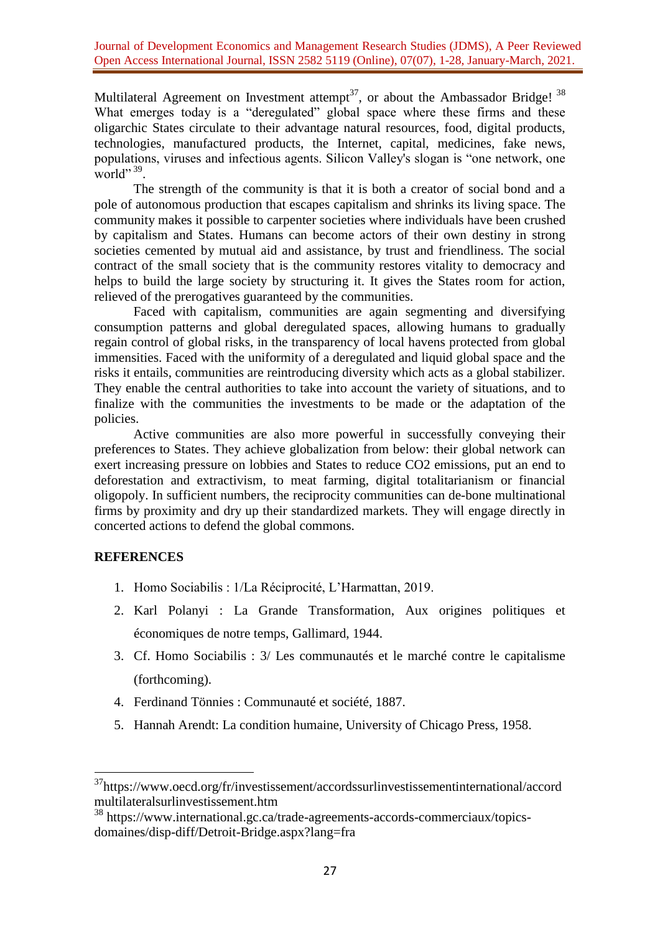Journal of Development Economics and Management Research Studies (JDMS), A Peer Reviewed Open Access International Journal, ISSN 2582 5119 (Online), 07(07), 1-28, January-March, 2021.

Multilateral Agreement on Investment attempt<sup>37</sup>, or about the Ambassador Bridge!<sup>38</sup> What emerges today is a "deregulated" global space where these firms and these oligarchic States circulate to their advantage natural resources, food, digital products, technologies, manufactured products, the Internet, capital, medicines, fake news, populations, viruses and infectious agents. Silicon Valley's slogan is "one network, one world"  $39$ .

The strength of the community is that it is both a creator of social bond and a pole of autonomous production that escapes capitalism and shrinks its living space. The community makes it possible to carpenter societies where individuals have been crushed by capitalism and States. Humans can become actors of their own destiny in strong societies cemented by mutual aid and assistance, by trust and friendliness. The social contract of the small society that is the community restores vitality to democracy and helps to build the large society by structuring it. It gives the States room for action, relieved of the prerogatives guaranteed by the communities.

Faced with capitalism, communities are again segmenting and diversifying consumption patterns and global deregulated spaces, allowing humans to gradually regain control of global risks, in the transparency of local havens protected from global immensities. Faced with the uniformity of a deregulated and liquid global space and the risks it entails, communities are reintroducing diversity which acts as a global stabilizer. They enable the central authorities to take into account the variety of situations, and to finalize with the communities the investments to be made or the adaptation of the policies.

Active communities are also more powerful in successfully conveying their preferences to States. They achieve globalization from below: their global network can exert increasing pressure on lobbies and States to reduce CO2 emissions, put an end to deforestation and extractivism, to meat farming, digital totalitarianism or financial oligopoly. In sufficient numbers, the reciprocity communities can de-bone multinational firms by proximity and dry up their standardized markets. They will engage directly in concerted actions to defend the global commons.

# **REFERENCES**

- 1. Homo Sociabilis : 1/La Réciprocité, L'Harmattan, 2019.
- 2. Karl Polanyi : La Grande Transformation, Aux origines politiques et économiques de notre temps, Gallimard, 1944.
- 3. Cf. Homo Sociabilis : 3/ Les communautés et le marché contre le capitalisme (forthcoming).
- 4. Ferdinand Tönnies : Communauté et société, 1887.
- 5. Hannah Arendt: La condition humaine, University of Chicago Press, 1958.

<sup>&</sup>lt;sup>37</sup>[https://www.oecd.org/fr/investissement/accordssurlinvestissementinternational/accord](https://www.oecd.org/fr/investissement/accordssurlinvestissementinternational/accordmultilateralsurlinvestissement.htm) [multilateralsurlinvestissement.htm](https://www.oecd.org/fr/investissement/accordssurlinvestissementinternational/accordmultilateralsurlinvestissement.htm)

<sup>38</sup> [https://www.international.gc.ca/trade-agreements-accords-commerciaux/topics](https://www.international.gc.ca/trade-agreements-accords-commerciaux/topics-domaines/disp-diff/Detroit-Bridge.aspx?lang=fra)[domaines/disp-diff/Detroit-Bridge.aspx?lang=fra](https://www.international.gc.ca/trade-agreements-accords-commerciaux/topics-domaines/disp-diff/Detroit-Bridge.aspx?lang=fra)